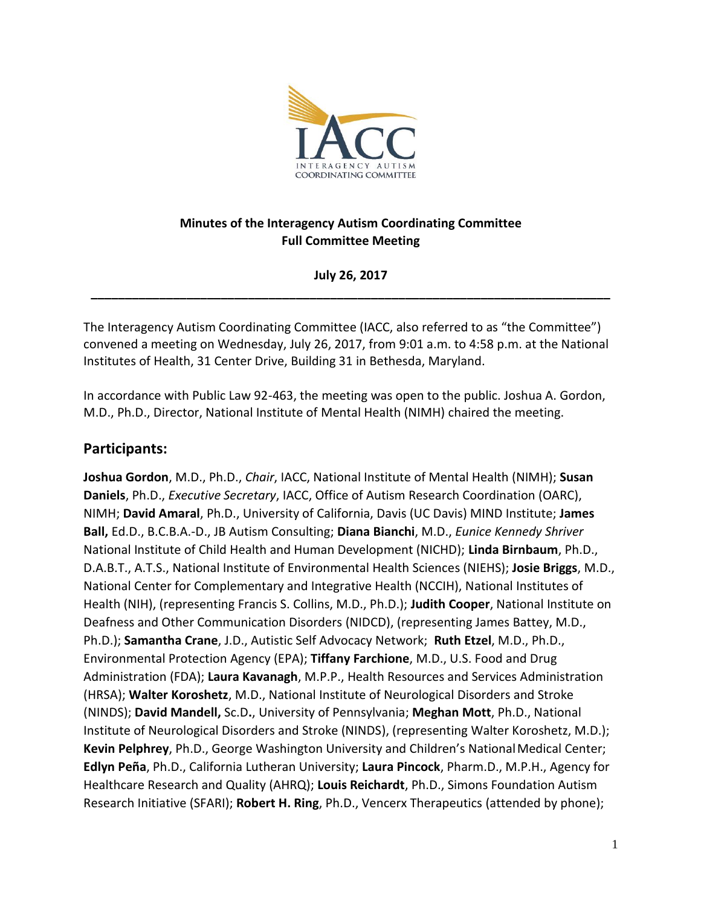

### **Minutes of the Interagency Autism Coordinating Committee Full Committee Meeting**

**\_\_\_\_\_\_\_\_\_\_\_\_\_\_\_\_\_\_\_\_\_\_\_\_\_\_\_\_\_\_\_\_\_\_\_\_\_\_\_\_\_\_\_\_\_\_\_\_\_\_\_\_\_\_\_\_\_\_\_\_\_\_\_\_\_\_\_\_\_\_\_\_\_\_\_\_ July 26, 2017** 

 The Interagency Autism Coordinating Committee (IACC, also referred to as "the Committee") convened a meeting on Wednesday, July 26, 2017, from 9:01 a.m. to 4:58 p.m. at the National Institutes of Health, 31 Center Drive, Building 31 in Bethesda, Maryland.

 In accordance with Public Law 92-463, the meeting was open to the public. Joshua A. Gordon, M.D., Ph.D., Director, National Institute of Mental Health (NIMH) chaired the meeting.

## **Participants:**

 **Joshua Gordon**, M.D., Ph.D., *Chair*, IACC, National Institute of Mental Health (NIMH); **Susan Ball,** Ed.D., B.C.B.A.-D., JB Autism Consulting; **Diana Bianchi**, M.D., *Eunice Kennedy Shriver*  National Institute of Child Health and Human Development (NICHD); **Linda Birnbaum**, Ph.D., D.A.B.T., A.T.S., National Institute of Environmental Health Sciences (NIEHS); **Josie Briggs**, M.D., Deafness and Other Communication Disorders (NIDCD), (representing James Battey, M.D., Ph.D.); **Samantha Crane**, J.D., Autistic Self Advocacy Network; **Ruth Etzel**, M.D., Ph.D., Environmental Protection Agency (EPA); **Tiffany Farchione**, M.D., U.S. Food and Drug Administration (FDA); **Laura Kavanagh**, M.P.P., Health Resources and Services Administration  (NINDS); **David Mandell,** Sc.D**.**, University of Pennsylvania; **Meghan Mott**, Ph.D., National Institute of Neurological Disorders and Stroke (NINDS), (representing Walter Koroshetz, M.D.); **Edlyn Peña**, Ph.D., California Lutheran University; **Laura Pincock**, Pharm.D., M.P.H., Agency for Healthcare Research and Quality (AHRQ); **Louis Reichardt**, Ph.D., Simons Foundation Autism Research Initiative (SFARI); **Robert H. Ring**, Ph.D., Vencerx Therapeutics (attended by phone); **Daniels**, Ph.D., *Executive Secretary*, IACC, Office of Autism Research Coordination (OARC), NIMH; **David Amaral**, Ph.D., University of California, Davis (UC Davis) MIND Institute; **James**  National Center for Complementary and Integrative Health (NCCIH), National Institutes of Health (NIH), (representing Francis S. Collins, M.D., Ph.D.); **Judith Cooper**, National Institute on (HRSA); **Walter Koroshetz**, M.D., National Institute of Neurological Disorders and Stroke Kevin Pelphrey, Ph.D., George Washington University and Children's National Medical Center;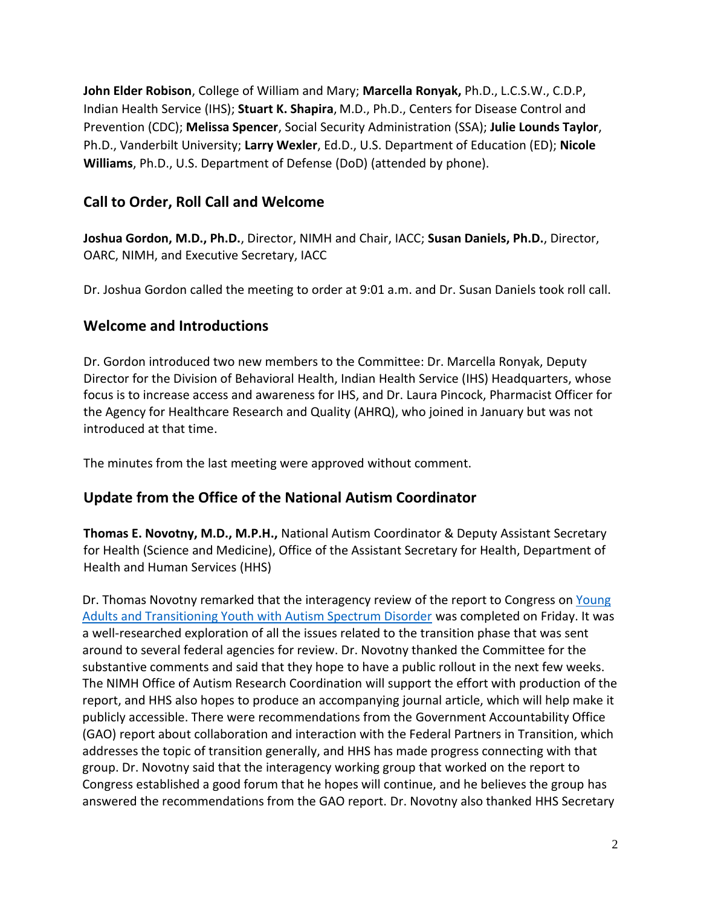**John Elder Robison**, College of William and Mary; **Marcella Ronyak,** Ph.D., L.C.S.W., C.D.P, Indian Health Service (IHS); **Stuart K. Shapira**, M.D., Ph.D., Centers for Disease Control and  Prevention (CDC); **Melissa Spencer**, Social Security Administration (SSA); **Julie Lounds Taylor**, Ph.D., Vanderbilt University; **Larry Wexler**, Ed.D., U.S. Department of Education (ED); **Nicole Williams**, Ph.D., U.S. Department of Defense (DoD) (attended by phone).

# **Call to Order, Roll Call and Welcome**

 **Joshua Gordon, M.D., Ph.D.**, Director, NIMH and Chair, IACC; **Susan Daniels, Ph.D.**, Director, OARC, NIMH, and Executive Secretary, IACC

Dr. Joshua Gordon called the meeting to order at 9:01 a.m. and Dr. Susan Daniels took roll call.

## **Welcome and Introductions**

 Director for the Division of Behavioral Health, Indian Health Service (IHS) Headquarters, whose focus is to increase access and awareness for IHS, and Dr. Laura Pincock, Pharmacist Officer for the Agency for Healthcare Research and Quality (AHRQ), who joined in January but was not introduced at that time. Dr. Gordon introduced two new members to the Committee: Dr. Marcella Ronyak, Deputy

The minutes from the last meeting were approved without comment.

## **Update from the Office of the National Autism Coordinator**

 for Health (Science and Medicine), Office of the Assistant Secretary for Health, Department of Health and Human Services (HHS) **Thomas E. Novotny, M.D., M.P.H.,** National Autism Coordinator & Deputy Assistant Secretary

Dr. Thomas Novotny remarked that the interagency review of the report to Congress on Young [Adults and Transitioning Youth with Autism Spectrum Disorder](https://www.hhs.gov/sites/default/files/2017AutismReport.pdf) was completed on Friday. It was a well-researched exploration of all the issues related to the transition phase that was sent around to several federal agencies for review. Dr. Novotny thanked the Committee for the substantive comments and said that they hope to have a public rollout in the next few weeks. The NIMH Office of Autism Research Coordination will support the effort with production of the report, and HHS also hopes to produce an accompanying journal article, which will help make it publicly accessible. There were recommendations from the Government Accountability Office (GAO) report about collaboration and interaction with the Federal Partners in Transition, which addresses the topic of transition generally, and HHS has made progress connecting with that group. Dr. Novotny said that the interagency working group that worked on the report to Congress established a good forum that he hopes will continue, and he believes the group has answered the recommendations from the GAO report. Dr. Novotny also thanked HHS Secretary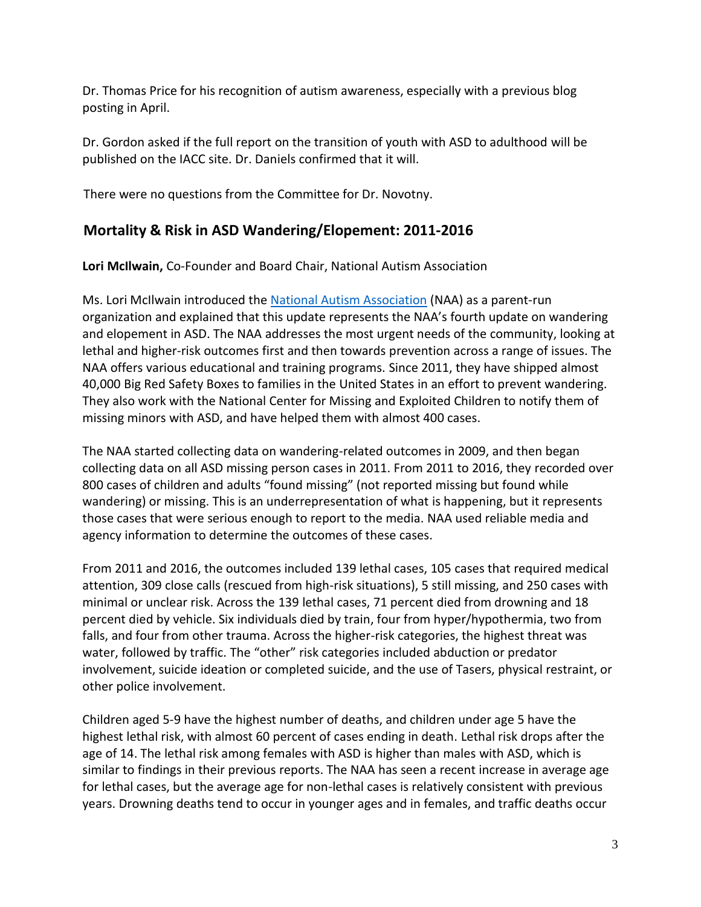Dr. Thomas Price for his recognition of autism awareness, especially with a previous blog posting in April.

 Dr. Gordon asked if the full report on the transition of youth with ASD to adulthood will be published on the IACC site. Dr. Daniels confirmed that it will.

There were no questions from the Committee for Dr. Novotny.

## **Mortality & Risk in ASD Wandering/Elopement: 2011-2016**

**Lori McIlwain,** Co-Founder and Board Chair, National Autism Association

Ms. Lori McIlwain introduced the [National Autism Association](http://nationalautismassociation.org/) (NAA) as a parent-run organization and explained that this update represents the NAA's fourth update on wandering and elopement in ASD. The NAA addresses the most urgent needs of the community, looking at lethal and higher-risk outcomes first and then towards prevention across a range of issues. The NAA offers various educational and training programs. Since 2011, they have shipped almost 40,000 Big Red Safety Boxes to families in the United States in an effort to prevent wandering. They also work with the National Center for Missing and Exploited Children to notify them of missing minors with ASD, and have helped them with almost 400 cases.

 The NAA started collecting data on wandering-related outcomes in 2009, and then began collecting data on all ASD missing person cases in 2011. From 2011 to 2016, they recorded over 800 cases of children and adults "found missing" (not reported missing but found while wandering) or missing. This is an underrepresentation of what is happening, but it represents those cases that were serious enough to report to the media. NAA used reliable media and agency information to determine the outcomes of these cases.

 From 2011 and 2016, the outcomes included 139 lethal cases, 105 cases that required medical attention, 309 close calls (rescued from high-risk situations), 5 still missing, and 250 cases with minimal or unclear risk. Across the 139 lethal cases, 71 percent died from drowning and 18 percent died by vehicle. Six individuals died by train, four from hyper/hypothermia, two from falls, and four from other trauma. Across the higher-risk categories, the highest threat was water, followed by traffic. The "other" risk categories included abduction or predator involvement, suicide ideation or completed suicide, and the use of Tasers, physical restraint, or other police involvement.

 Children aged 5-9 have the highest number of deaths, and children under age 5 have the highest lethal risk, with almost 60 percent of cases ending in death. Lethal risk drops after the age of 14. The lethal risk among females with ASD is higher than males with ASD, which is similar to findings in their previous reports. The NAA has seen a recent increase in average age for lethal cases, but the average age for non-lethal cases is relatively consistent with previous years. Drowning deaths tend to occur in younger ages and in females, and traffic deaths occur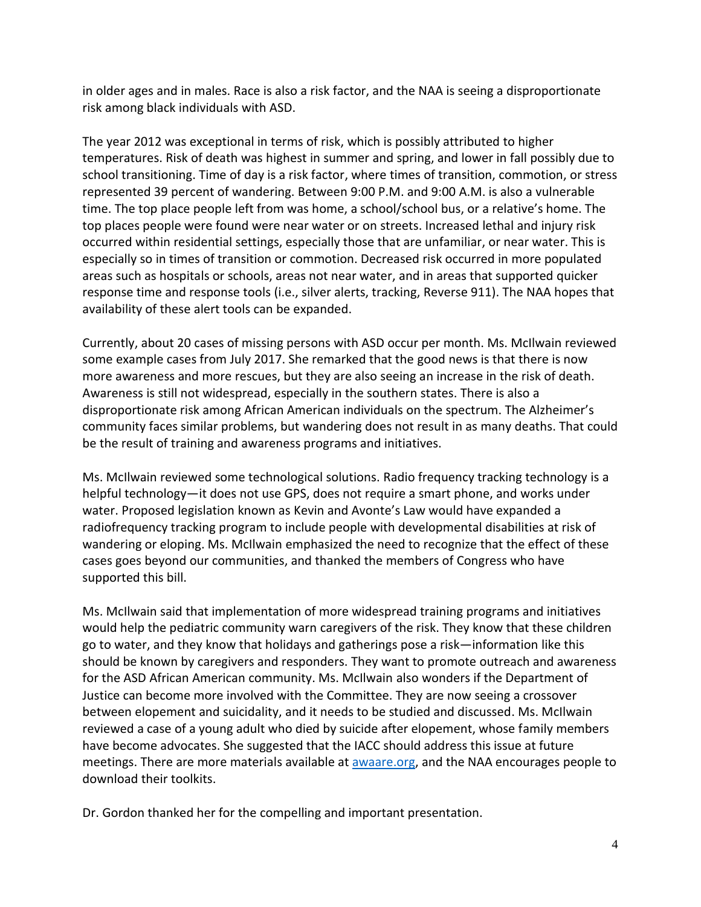in older ages and in males. Race is also a risk factor, and the NAA is seeing a disproportionate risk among black individuals with ASD.

 The year 2012 was exceptional in terms of risk, which is possibly attributed to higher temperatures. Risk of death was highest in summer and spring, and lower in fall possibly due to school transitioning. Time of day is a risk factor, where times of transition, commotion, or stress represented 39 percent of wandering. Between 9:00 P.M. and 9:00 A.M. is also a vulnerable time. The top place people left from was home, a school/school bus, or a relative's home. The top places people were found were near water or on streets. Increased lethal and injury risk occurred within residential settings, especially those that are unfamiliar, or near water. This is especially so in times of transition or commotion. Decreased risk occurred in more populated areas such as hospitals or schools, areas not near water, and in areas that supported quicker availability of these alert tools can be expanded. response time and response tools (i.e., silver alerts, tracking, Reverse 911). The NAA hopes that

 Currently, about 20 cases of missing persons with ASD occur per month. Ms. McIlwain reviewed some example cases from July 2017. She remarked that the good news is that there is now more awareness and more rescues, but they are also seeing an increase in the risk of death. disproportionate risk among African American individuals on the spectrum. The Alzheimer's community faces similar problems, but wandering does not result in as many deaths. That could be the result of training and awareness programs and initiatives. Awareness is still not widespread, especially in the southern states. There is also a

 Ms. McIlwain reviewed some technological solutions. Radio frequency tracking technology is a water. Proposed legislation known as Kevin and Avonte's Law would have expanded a radiofrequency tracking program to include people with developmental disabilities at risk of wandering or eloping. Ms. McIlwain emphasized the need to recognize that the effect of these cases goes beyond our communities, and thanked the members of Congress who have supported this bill. helpful technology—it does not use GPS, does not require a smart phone, and works under

 Ms. McIlwain said that implementation of more widespread training programs and initiatives would help the pediatric community warn caregivers of the risk. They know that these children go to water, and they know that holidays and gatherings pose a risk—information like this should be known by caregivers and responders. They want to promote outreach and awareness for the ASD African American community. Ms. McIlwain also wonders if the Department of Justice can become more involved with the Committee. They are now seeing a crossover between elopement and suicidality, and it needs to be studied and discussed. Ms. McIlwain reviewed a case of a young adult who died by suicide after elopement, whose family members have become advocates. She suggested that the IACC should address this issue at future meetings. There are more materials available at **awaare.org**, and the NAA encourages people to download their toolkits.

Dr. Gordon thanked her for the compelling and important presentation.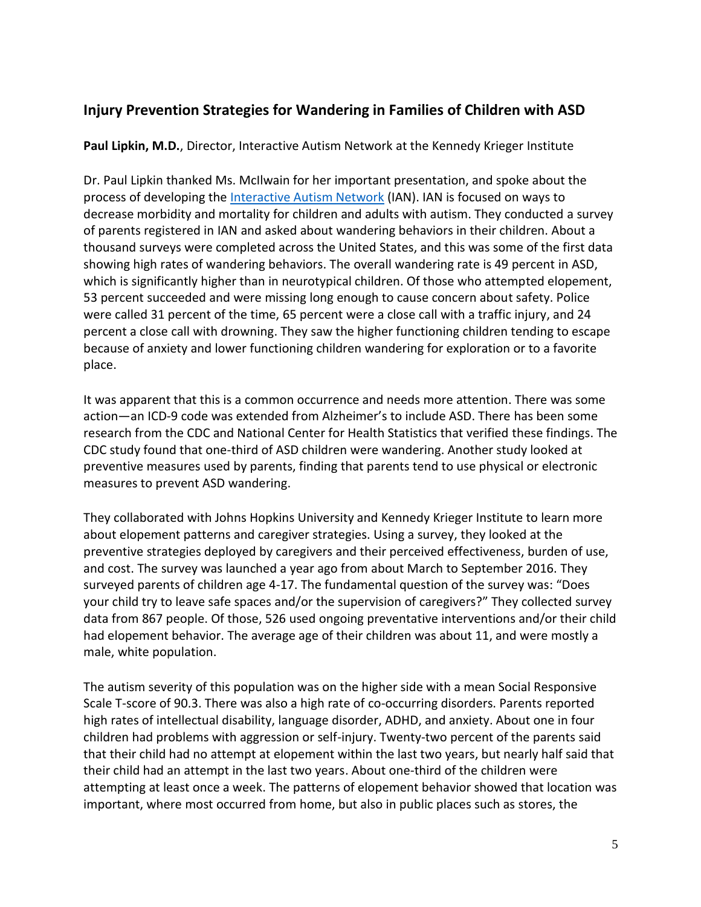# **Injury Prevention Strategies for Wandering in Families of Children with ASD**

**Paul Lipkin, M.D.**, Director, Interactive Autism Network at the Kennedy Krieger Institute

 Dr. Paul Lipkin thanked Ms. McIlwain for her important presentation, and spoke about the process of developing the <u>Interactive Autism Network</u> (IAN). IAN is focused on ways to decrease morbidity and mortality for children and adults with autism. They conducted a survey of parents registered in IAN and asked about wandering behaviors in their children. About a thousand surveys were completed across the United States, and this was some of the first data showing high rates of wandering behaviors. The overall wandering rate is 49 percent in ASD, which is significantly higher than in neurotypical children. Of those who attempted elopement, 53 percent succeeded and were missing long enough to cause concern about safety. Police were called 31 percent of the time, 65 percent were a close call with a traffic injury, and 24 percent a close call with drowning. They saw the higher functioning children tending to escape because of anxiety and lower functioning children wandering for exploration or to a favorite place.

 It was apparent that this is a common occurrence and needs more attention. There was some action—an ICD-9 code was extended from Alzheimer's to include ASD. There has been some research from the CDC and National Center for Health Statistics that verified these findings. The CDC study found that one-third of ASD children were wandering. Another study looked at preventive measures used by parents, finding that parents tend to use physical or electronic measures to prevent ASD wandering.

 They collaborated with Johns Hopkins University and Kennedy Krieger Institute to learn more about elopement patterns and caregiver strategies. Using a survey, they looked at the preventive strategies deployed by caregivers and their perceived effectiveness, burden of use, and cost. The survey was launched a year ago from about March to September 2016. They surveyed parents of children age 4-17. The fundamental question of the survey was: "Does your child try to leave safe spaces and/or the supervision of caregivers?" They collected survey data from 867 people. Of those, 526 used ongoing preventative interventions and/or their child had elopement behavior. The average age of their children was about 11, and were mostly a male, white population.

 The autism severity of this population was on the higher side with a mean Social Responsive Scale T-score of 90.3. There was also a high rate of co-occurring disorders. Parents reported high rates of intellectual disability, language disorder, ADHD, and anxiety. About one in four children had problems with aggression or self-injury. Twenty-two percent of the parents said that their child had no attempt at elopement within the last two years, but nearly half said that their child had an attempt in the last two years. About one-third of the children were attempting at least once a week. The patterns of elopement behavior showed that location was important, where most occurred from home, but also in public places such as stores, the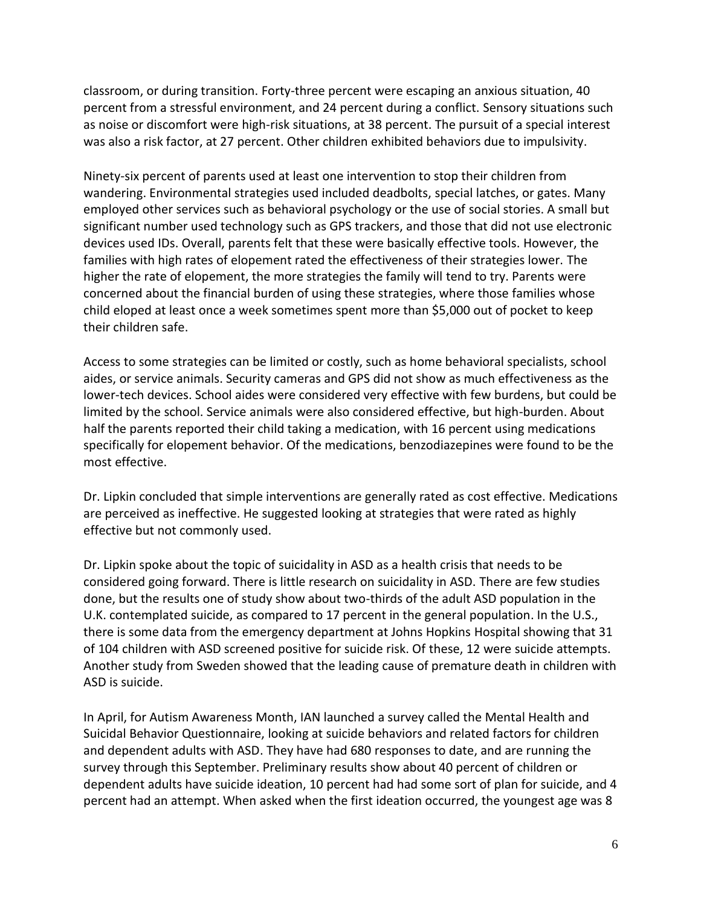classroom, or during transition. Forty-three percent were escaping an anxious situation, 40 percent from a stressful environment, and 24 percent during a conflict. Sensory situations such as noise or discomfort were high-risk situations, at 38 percent. The pursuit of a special interest was also a risk factor, at 27 percent. Other children exhibited behaviors due to impulsivity.

 Ninety-six percent of parents used at least one intervention to stop their children from wandering. Environmental strategies used included deadbolts, special latches, or gates. Many employed other services such as behavioral psychology or the use of social stories. A small but significant number used technology such as GPS trackers, and those that did not use electronic devices used IDs. Overall, parents felt that these were basically effective tools. However, the families with high rates of elopement rated the effectiveness of their strategies lower. The higher the rate of elopement, the more strategies the family will tend to try. Parents were concerned about the financial burden of using these strategies, where those families whose child eloped at least once a week sometimes spent more than \$5,000 out of pocket to keep their children safe.

 Access to some strategies can be limited or costly, such as home behavioral specialists, school aides, or service animals. Security cameras and GPS did not show as much effectiveness as the lower-tech devices. School aides were considered very effective with few burdens, but could be limited by the school. Service animals were also considered effective, but high-burden. About half the parents reported their child taking a medication, with 16 percent using medications specifically for elopement behavior. Of the medications, benzodiazepines were found to be the most effective.

 Dr. Lipkin concluded that simple interventions are generally rated as cost effective. Medications are perceived as ineffective. He suggested looking at strategies that were rated as highly effective but not commonly used.

 Dr. Lipkin spoke about the topic of suicidality in ASD as a health crisis that needs to be considered going forward. There is little research on suicidality in ASD. There are few studies done, but the results one of study show about two-thirds of the adult ASD population in the U.K. contemplated suicide, as compared to 17 percent in the general population. In the U.S., there is some data from the emergency department at Johns Hopkins Hospital showing that 31 of 104 children with ASD screened positive for suicide risk. Of these, 12 were suicide attempts. Another study from Sweden showed that the leading cause of premature death in children with ASD is suicide.

 In April, for Autism Awareness Month, IAN launched a survey called the Mental Health and Suicidal Behavior Questionnaire, looking at suicide behaviors and related factors for children and dependent adults with ASD. They have had 680 responses to date, and are running the survey through this September. Preliminary results show about 40 percent of children or dependent adults have suicide ideation, 10 percent had had some sort of plan for suicide, and 4 percent had an attempt. When asked when the first ideation occurred, the youngest age was 8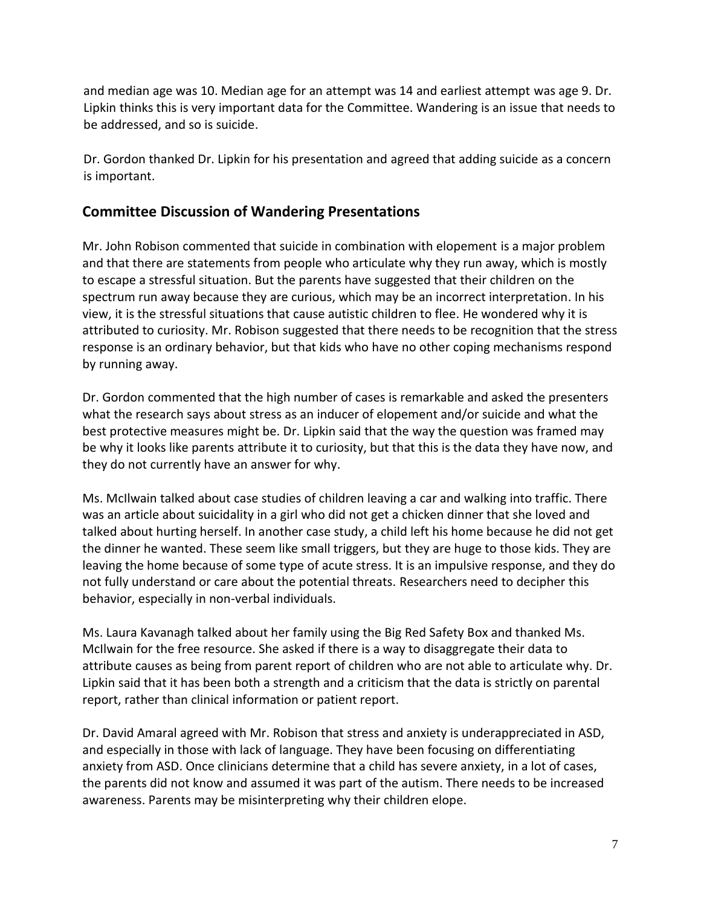and median age was 10. Median age for an attempt was 14 and earliest attempt was age 9. Dr. Lipkin thinks this is very important data for the Committee. Wandering is an issue that needs to be addressed, and so is suicide.

 Dr. Gordon thanked Dr. Lipkin for his presentation and agreed that adding suicide as a concern is important.

### **Committee Discussion of Wandering Presentations**

 Mr. John Robison commented that suicide in combination with elopement is a major problem and that there are statements from people who articulate why they run away, which is mostly to escape a stressful situation. But the parents have suggested that their children on the spectrum run away because they are curious, which may be an incorrect interpretation. In his view, it is the stressful situations that cause autistic children to flee. He wondered why it is attributed to curiosity. Mr. Robison suggested that there needs to be recognition that the stress response is an ordinary behavior, but that kids who have no other coping mechanisms respond by running away.

 Dr. Gordon commented that the high number of cases is remarkable and asked the presenters what the research says about stress as an inducer of elopement and/or suicide and what the best protective measures might be. Dr. Lipkin said that the way the question was framed may be why it looks like parents attribute it to curiosity, but that this is the data they have now, and they do not currently have an answer for why.

 Ms. McIlwain talked about case studies of children leaving a car and walking into traffic. There was an article about suicidality in a girl who did not get a chicken dinner that she loved and talked about hurting herself. In another case study, a child left his home because he did not get the dinner he wanted. These seem like small triggers, but they are huge to those kids. They are leaving the home because of some type of acute stress. It is an impulsive response, and they do not fully understand or care about the potential threats. Researchers need to decipher this behavior, especially in non-verbal individuals.

 Ms. Laura Kavanagh talked about her family using the Big Red Safety Box and thanked Ms. McIlwain for the free resource. She asked if there is a way to disaggregate their data to attribute causes as being from parent report of children who are not able to articulate why. Dr. Lipkin said that it has been both a strength and a criticism that the data is strictly on parental report, rather than clinical information or patient report.

 Dr. David Amaral agreed with Mr. Robison that stress and anxiety is underappreciated in ASD, and especially in those with lack of language. They have been focusing on differentiating anxiety from ASD. Once clinicians determine that a child has severe anxiety, in a lot of cases, the parents did not know and assumed it was part of the autism. There needs to be increased awareness. Parents may be misinterpreting why their children elope.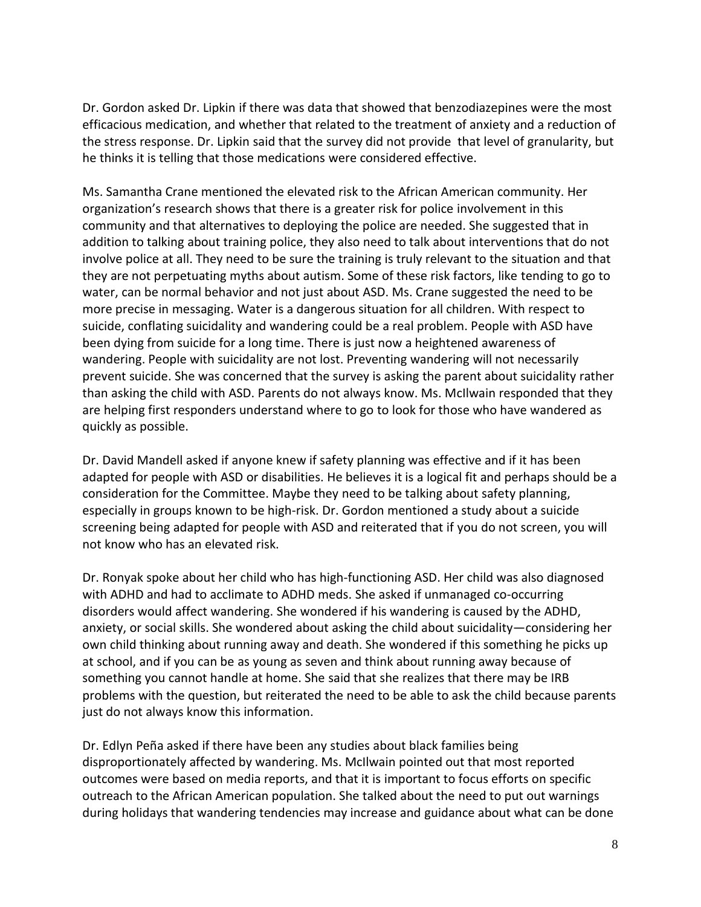Dr. Gordon asked Dr. Lipkin if there was data that showed that benzodiazepines were the most efficacious medication, and whether that related to the treatment of anxiety and a reduction of the stress response. Dr. Lipkin said that the survey did not provide that level of granularity, but he thinks it is telling that those medications were considered effective.

 Ms. Samantha Crane mentioned the elevated risk to the African American community. Her organization's research shows that there is a greater risk for police involvement in this community and that alternatives to deploying the police are needed. She suggested that in addition to talking about training police, they also need to talk about interventions that do not involve police at all. They need to be sure the training is truly relevant to the situation and that they are not perpetuating myths about autism. Some of these risk factors, like tending to go to water, can be normal behavior and not just about ASD. Ms. Crane suggested the need to be more precise in messaging. Water is a dangerous situation for all children. With respect to suicide, conflating suicidality and wandering could be a real problem. People with ASD have been dying from suicide for a long time. There is just now a heightened awareness of wandering. People with suicidality are not lost. Preventing wandering will not necessarily prevent suicide. She was concerned that the survey is asking the parent about suicidality rather than asking the child with ASD. Parents do not always know. Ms. McIlwain responded that they are helping first responders understand where to go to look for those who have wandered as quickly as possible.

 Dr. David Mandell asked if anyone knew if safety planning was effective and if it has been adapted for people with ASD or disabilities. He believes it is a logical fit and perhaps should be a consideration for the Committee. Maybe they need to be talking about safety planning, especially in groups known to be high-risk. Dr. Gordon mentioned a study about a suicide screening being adapted for people with ASD and reiterated that if you do not screen, you will not know who has an elevated risk.

 Dr. Ronyak spoke about her child who has high-functioning ASD. Her child was also diagnosed with ADHD and had to acclimate to ADHD meds. She asked if unmanaged co-occurring disorders would affect wandering. She wondered if his wandering is caused by the ADHD, anxiety, or social skills. She wondered about asking the child about suicidality—considering her own child thinking about running away and death. She wondered if this something he picks up at school, and if you can be as young as seven and think about running away because of something you cannot handle at home. She said that she realizes that there may be IRB problems with the question, but reiterated the need to be able to ask the child because parents just do not always know this information.

 outcomes were based on media reports, and that it is important to focus efforts on specific outreach to the African American population. She talked about the need to put out warnings during holidays that wandering tendencies may increase and guidance about what can be done Dr. Edlyn Peña asked if there have been any studies about black families being disproportionately affected by wandering. Ms. McIlwain pointed out that most reported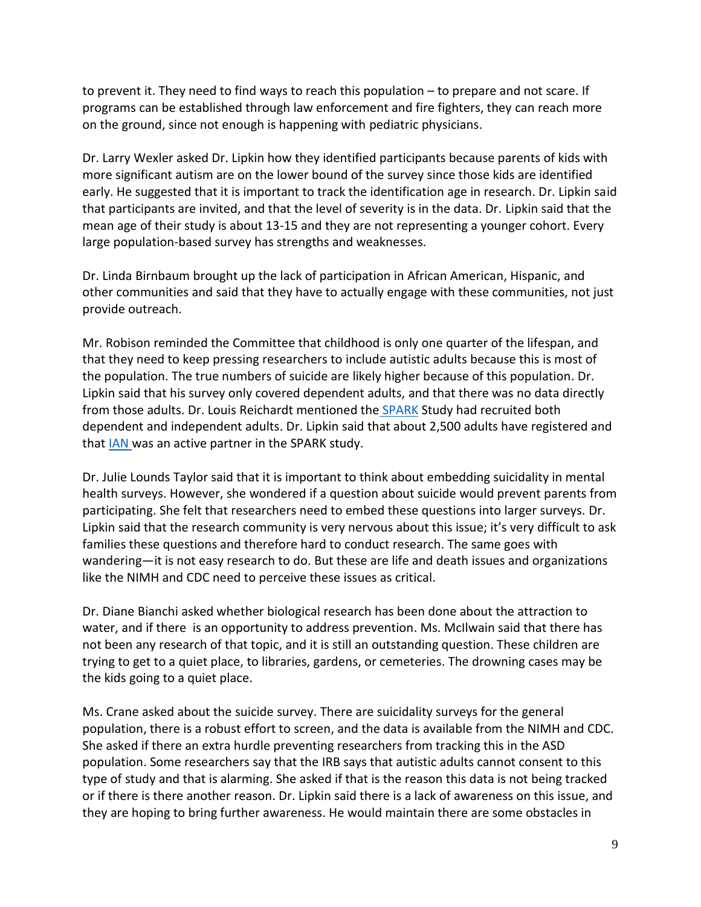to prevent it. They need to find ways to reach this population – to prepare and not scare. If programs can be established through law enforcement and fire fighters, they can reach more on the ground, since not enough is happening with pediatric physicians.

 Dr. Larry Wexler asked Dr. Lipkin how they identified participants because parents of kids with more significant autism are on the lower bound of the survey since those kids are identified early. He suggested that it is important to track the identification age in research. Dr. Lipkin said that participants are invited, and that the level of severity is in the data. Dr. Lipkin said that the mean age of their study is about 13-15 and they are not representing a younger cohort. Every large population-based survey has strengths and weaknesses.

 Dr. Linda Birnbaum brought up the lack of participation in African American, Hispanic, and other communities and said that they have to actually engage with these communities, not just provide outreach.

 Mr. Robison reminded the Committee that childhood is only one quarter of the lifespan, and that they need to keep pressing researchers to include autistic adults because this is most of the population. The true numbers of suicide are likely higher because of this population. Dr. Lipkin said that his survey only covered dependent adults, and that there was no data directly from those adults. Dr. Louis Reichardt mentioned th[e SPARK](https://sparkforautism.org/) Study had recruited both dependent and independent adults. Dr. Lipkin said that about 2,500 adults have registered and that [IAN w](https://iancommunity.org/)as an active partner in the SPARK study.

 Dr. Julie Lounds Taylor said that it is important to think about embedding suicidality in mental participating. She felt that researchers need to embed these questions into larger surveys. Dr. Lipkin said that the research community is very nervous about this issue; it's very difficult to ask families these questions and therefore hard to conduct research. The same goes with wandering—it is not easy research to do. But these are life and death issues and organizations like the NIMH and CDC need to perceive these issues as critical. health surveys. However, she wondered if a question about suicide would prevent parents from

 Dr. Diane Bianchi asked whether biological research has been done about the attraction to water, and if there is an opportunity to address prevention. Ms. McIlwain said that there has not been any research of that topic, and it is still an outstanding question. These children are trying to get to a quiet place, to libraries, gardens, or cemeteries. The drowning cases may be the kids going to a quiet place.

 population, there is a robust effort to screen, and the data is available from the NIMH and CDC. She asked if there an extra hurdle preventing researchers from tracking this in the ASD population. Some researchers say that the IRB says that autistic adults cannot consent to this type of study and that is alarming. She asked if that is the reason this data is not being tracked or if there is there another reason. Dr. Lipkin said there is a lack of awareness on this issue, and they are hoping to bring further awareness. He would maintain there are some obstacles in Ms. Crane asked about the suicide survey. There are suicidality surveys for the general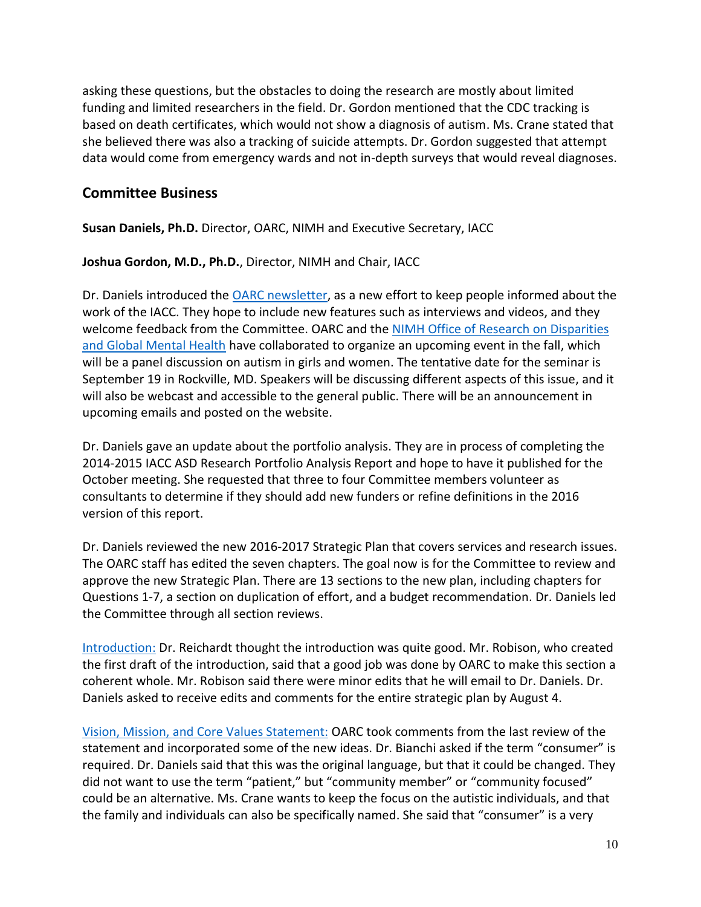asking these questions, but the obstacles to doing the research are mostly about limited funding and limited researchers in the field. Dr. Gordon mentioned that the CDC tracking is based on death certificates, which would not show a diagnosis of autism. Ms. Crane stated that she believed there was also a tracking of suicide attempts. Dr. Gordon suggested that attempt data would come from emergency wards and not in-depth surveys that would reveal diagnoses.

### **Committee Business**

 **Susan Daniels, Ph.D.** Director, OARC, NIMH and Executive Secretary, IACC

**Joshua Gordon, M.D., Ph.D.**, Director, NIMH and Chair, IACC

 work of the IACC. They hope to include new features such as interviews and videos, and they welcome feedback from the Committee. OARC and the NIMH Office of Research on Disparities [and Global Mental Health](https://www.nimh.nih.gov/about/organization/gmh/index.shtml) have collaborated to organize an upcoming event in the fall, which September 19 in Rockville, MD. Speakers will be discussing different aspects of this issue, and it will also be webcast and accessible to the general public. There will be an announcement in Dr. Daniels introduced the [OARC newsletter,](https://iacc.hhs.gov/news/newsletter/) as a new effort to keep people informed about the will be a panel discussion on autism in girls and women. The tentative date for the seminar is upcoming emails and posted on the website.

 Dr. Daniels gave an update about the portfolio analysis. They are in process of completing the 2014-2015 IACC ASD Research Portfolio Analysis Report and hope to have it published for the October meeting. She requested that three to four Committee members volunteer as consultants to determine if they should add new funders or refine definitions in the 2016 version of this report.

 Dr. Daniels reviewed the new 2016-2017 Strategic Plan that covers services and research issues. The OARC staff has edited the seven chapters. The goal now is for the Committee to review and approve the new Strategic Plan. There are 13 sections to the new plan, including chapters for Questions 1-7, a section on duplication of effort, and a budget recommendation. Dr. Daniels led the Committee through all section reviews.

 [Introduction: D](https://iacc.hhs.gov/meetings/iacc-meetings/2017/full-committee-meeting/july26/strategic-plan-introduction-draft.pdf)r. Reichardt thought the introduction was quite good. Mr. Robison, who created the first draft of the introduction, said that a good job was done by OARC to make this section a coherent whole. Mr. Robison said there were minor edits that he will email to Dr. Daniels. Dr. Daniels asked to receive edits and comments for the entire strategic plan by August 4.

 [Vision, Mission, and Core Values Statement:](https://iacc.hhs.gov/meetings/iacc-meetings/2017/full-committee-meeting/july26/strategic-plan-vision-draft.pdf) OARC took comments from the last review of the statement and incorporated some of the new ideas. Dr. Bianchi asked if the term "consumer" is required. Dr. Daniels said that this was the original language, but that it could be changed. They did not want to use the term "patient," but "community member" or "community focused" could be an alternative. Ms. Crane wants to keep the focus on the autistic individuals, and that the family and individuals can also be specifically named. She said that "consumer" is a very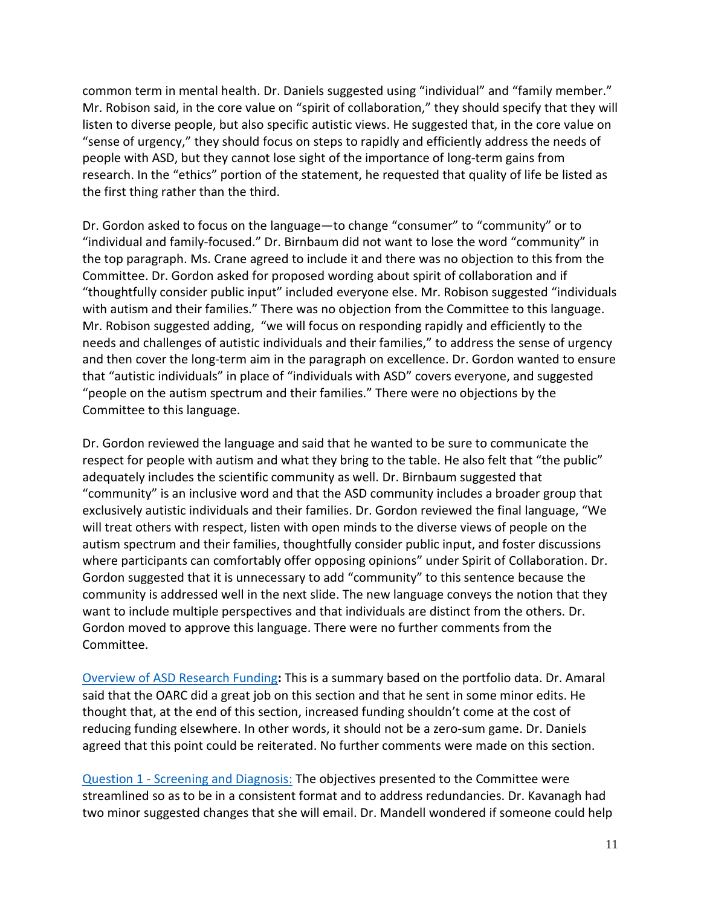common term in mental health. Dr. Daniels suggested using "individual" and "family member." Mr. Robison said, in the core value on "spirit of collaboration," they should specify that they will listen to diverse people, but also specific autistic views. He suggested that, in the core value on "sense of urgency," they should focus on steps to rapidly and efficiently address the needs of people with ASD, but they cannot lose sight of the importance of long-term gains from research. In the "ethics" portion of the statement, he requested that quality of life be listed as the first thing rather than the third.

 Dr. Gordon asked to focus on the language—to change "consumer" to "community" or to "individual and family-focused." Dr. Birnbaum did not want to lose the word "community" in the top paragraph. Ms. Crane agreed to include it and there was no objection to this from the Committee. Dr. Gordon asked for proposed wording about spirit of collaboration and if "thoughtfully consider public input" included everyone else. Mr. Robison suggested "individuals with autism and their families." There was no objection from the Committee to this language. Mr. Robison suggested adding, "we will focus on responding rapidly and efficiently to the needs and challenges of autistic individuals and their families," to address the sense of urgency and then cover the long-term aim in the paragraph on excellence. Dr. Gordon wanted to ensure "people on the autism spectrum and their families." There were no objections by the that "autistic individuals" in place of "individuals with ASD" covers everyone, and suggested Committee to this language.

 Dr. Gordon reviewed the language and said that he wanted to be sure to communicate the respect for people with autism and what they bring to the table. He also felt that "the public" adequately includes the scientific community as well. Dr. Birnbaum suggested that "community" is an inclusive word and that the ASD community includes a broader group that exclusively autistic individuals and their families. Dr. Gordon reviewed the final language, "We will treat others with respect, listen with open minds to the diverse views of people on the autism spectrum and their families, thoughtfully consider public input, and foster discussions where participants can comfortably offer opposing opinions" under Spirit of Collaboration. Dr. Gordon suggested that it is unnecessary to add "community" to this sentence because the community is addressed well in the next slide. The new language conveys the notion that they Gordon moved to approve this language. There were no further comments from the want to include multiple perspectives and that individuals are distinct from the others. Dr. Committee.

 [Overview of ASD Research Funding](https://iacc.hhs.gov/meetings/iacc-meetings/2017/full-committee-meeting/july26/strategic-plan-funding-overview-draft.pdf)**:** This is a summary based on the portfolio data. Dr. Amaral said that the OARC did a great job on this section and that he sent in some minor edits. He thought that, at the end of this section, increased funding shouldn't come at the cost of agreed that this point could be reiterated. No further comments were made on this section. reducing funding elsewhere. In other words, it should not be a zero-sum game. Dr. Daniels

Question 1 - [Screening and Diagnosis:](https://iacc.hhs.gov/meetings/iacc-meetings/2017/full-committee-meeting/july26/strategic-plan-q1-draft.pdf) The objectives presented to the Committee were streamlined so as to be in a consistent format and to address redundancies. Dr. Kavanagh had two minor suggested changes that she will email. Dr. Mandell wondered if someone could help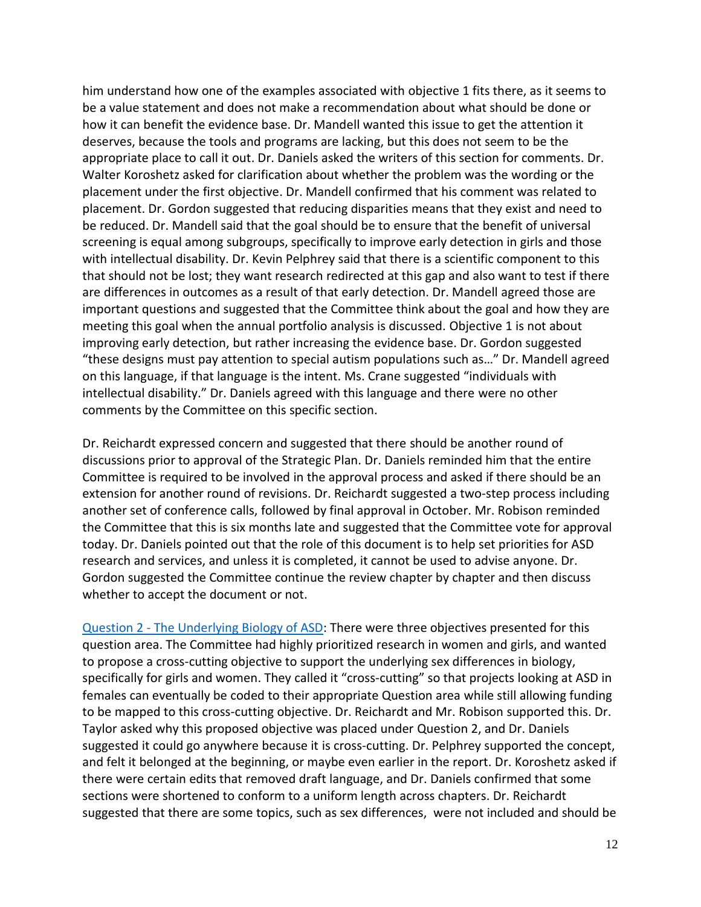him understand how one of the examples associated with objective 1 fits there, as it seems to be a value statement and does not make a recommendation about what should be done or how it can benefit the evidence base. Dr. Mandell wanted this issue to get the attention it appropriate place to call it out. Dr. Daniels asked the writers of this section for comments. Dr. Walter Koroshetz asked for clarification about whether the problem was the wording or the placement under the first objective. Dr. Mandell confirmed that his comment was related to placement. Dr. Gordon suggested that reducing disparities means that they exist and need to be reduced. Dr. Mandell said that the goal should be to ensure that the benefit of universal screening is equal among subgroups, specifically to improve early detection in girls and those with intellectual disability. Dr. Kevin Pelphrey said that there is a scientific component to this that should not be lost; they want research redirected at this gap and also want to test if there are differences in outcomes as a result of that early detection. Dr. Mandell agreed those are important questions and suggested that the Committee think about the goal and how they are meeting this goal when the annual portfolio analysis is discussed. Objective 1 is not about improving early detection, but rather increasing the evidence base. Dr. Gordon suggested "these designs must pay attention to special autism populations such as…" Dr. Mandell agreed on this language, if that language is the intent. Ms. Crane suggested "individuals with intellectual disability." Dr. Daniels agreed with this language and there were no other comments by the Committee on this specific section. deserves, because the tools and programs are lacking, but this does not seem to be the

 Dr. Reichardt expressed concern and suggested that there should be another round of discussions prior to approval of the Strategic Plan. Dr. Daniels reminded him that the entire Committee is required to be involved in the approval process and asked if there should be an extension for another round of revisions. Dr. Reichardt suggested a two-step process including another set of conference calls, followed by final approval in October. Mr. Robison reminded the Committee that this is six months late and suggested that the Committee vote for approval today. Dr. Daniels pointed out that the role of this document is to help set priorities for ASD research and services, and unless it is completed, it cannot be used to advise anyone. Dr. Gordon suggested the Committee continue the review chapter by chapter and then discuss whether to accept the document or not.

Question 2 - [The Underlying Biology of ASD:](https://iacc.hhs.gov/meetings/iacc-meetings/2017/full-committee-meeting/july26/strategic-plan-q2-draft.pdf) There were three objectives presented for this question area. The Committee had highly prioritized research in women and girls, and wanted to propose a cross-cutting objective to support the underlying sex differences in biology, specifically for girls and women. They called it "cross-cutting" so that projects looking at ASD in to be mapped to this cross-cutting objective. Dr. Reichardt and Mr. Robison supported this. Dr. Taylor asked why this proposed objective was placed under Question 2, and Dr. Daniels suggested it could go anywhere because it is cross-cutting. Dr. Pelphrey supported the concept, and felt it belonged at the beginning, or maybe even earlier in the report. Dr. Koroshetz asked if there were certain edits that removed draft language, and Dr. Daniels confirmed that some sections were shortened to conform to a uniform length across chapters. Dr. Reichardt suggested that there are some topics, such as sex differences, were not included and should be females can eventually be coded to their appropriate Question area while still allowing funding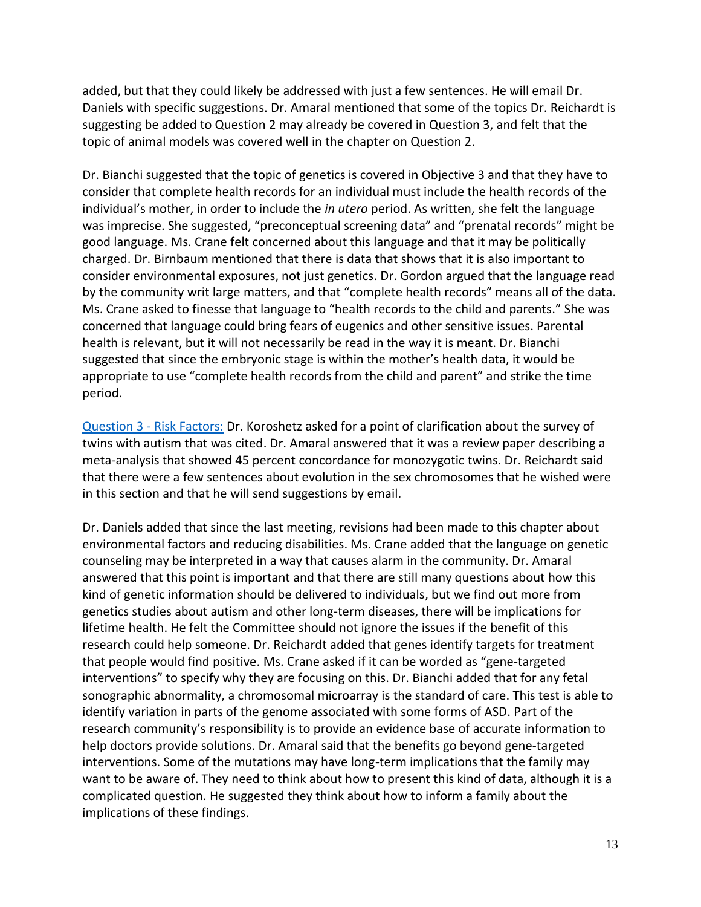added, but that they could likely be addressed with just a few sentences. He will email Dr. Daniels with specific suggestions. Dr. Amaral mentioned that some of the topics Dr. Reichardt is suggesting be added to Question 2 may already be covered in Question 3, and felt that the topic of animal models was covered well in the chapter on Question 2.

 Dr. Bianchi suggested that the topic of genetics is covered in Objective 3 and that they have to consider that complete health records for an individual must include the health records of the individual's mother, in order to include the *in utero* period. As written, she felt the language was imprecise. She suggested, "preconceptual screening data" and "prenatal records" might be good language. Ms. Crane felt concerned about this language and that it may be politically charged. Dr. Birnbaum mentioned that there is data that shows that it is also important to consider environmental exposures, not just genetics. Dr. Gordon argued that the language read by the community writ large matters, and that "complete health records" means all of the data. Ms. Crane asked to finesse that language to "health records to the child and parents." She was concerned that language could bring fears of eugenics and other sensitive issues. Parental health is relevant, but it will not necessarily be read in the way it is meant. Dr. Bianchi suggested that since the embryonic stage is within the mother's health data, it would be appropriate to use "complete health records from the child and parent" and strike the time period.

Question 3 - [Risk Factors:](https://iacc.hhs.gov/meetings/iacc-meetings/2017/full-committee-meeting/july26/strategic-plan-q3-draft.pdf) Dr. Koroshetz asked for a point of clarification about the survey of twins with autism that was cited. Dr. Amaral answered that it was a review paper describing a meta-analysis that showed 45 percent concordance for monozygotic twins. Dr. Reichardt said that there were a few sentences about evolution in the sex chromosomes that he wished were in this section and that he will send suggestions by email.

 Dr. Daniels added that since the last meeting, revisions had been made to this chapter about environmental factors and reducing disabilities. Ms. Crane added that the language on genetic counseling may be interpreted in a way that causes alarm in the community. Dr. Amaral answered that this point is important and that there are still many questions about how this kind of genetic information should be delivered to individuals, but we find out more from genetics studies about autism and other long-term diseases, there will be implications for lifetime health. He felt the Committee should not ignore the issues if the benefit of this research could help someone. Dr. Reichardt added that genes identify targets for treatment that people would find positive. Ms. Crane asked if it can be worded as "gene-targeted interventions" to specify why they are focusing on this. Dr. Bianchi added that for any fetal sonographic abnormality, a chromosomal microarray is the standard of care. This test is able to identify variation in parts of the genome associated with some forms of ASD. Part of the research community's responsibility is to provide an evidence base of accurate information to help doctors provide solutions. Dr. Amaral said that the benefits go beyond gene-targeted interventions. Some of the mutations may have long-term implications that the family may want to be aware of. They need to think about how to present this kind of data, although it is a complicated question. He suggested they think about how to inform a family about the implications of these findings.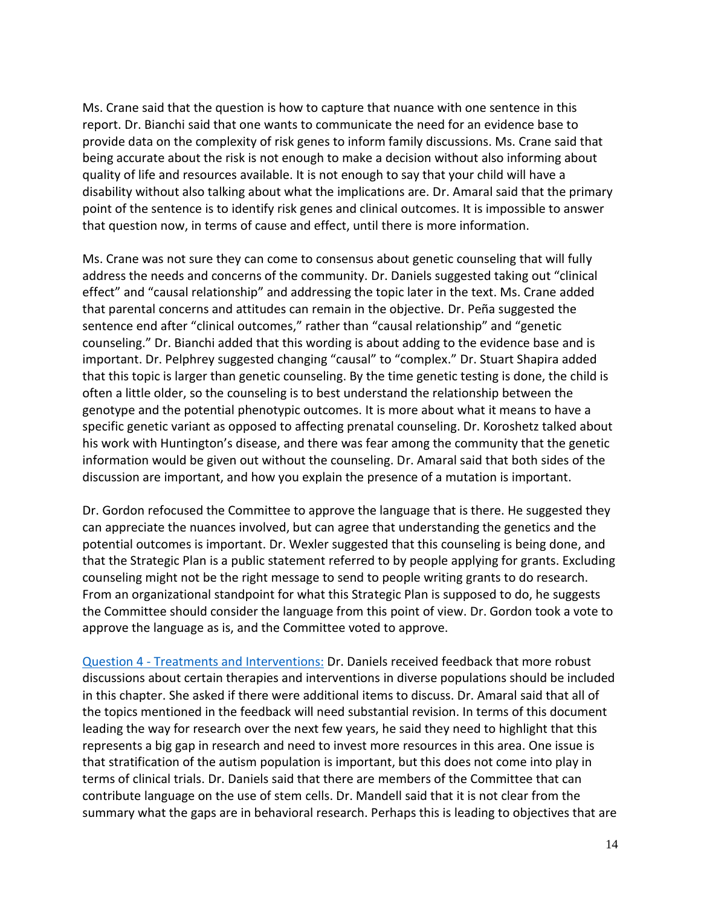Ms. Crane said that the question is how to capture that nuance with one sentence in this report. Dr. Bianchi said that one wants to communicate the need for an evidence base to provide data on the complexity of risk genes to inform family discussions. Ms. Crane said that being accurate about the risk is not enough to make a decision without also informing about quality of life and resources available. It is not enough to say that your child will have a disability without also talking about what the implications are. Dr. Amaral said that the primary point of the sentence is to identify risk genes and clinical outcomes. It is impossible to answer that question now, in terms of cause and effect, until there is more information.

 Ms. Crane was not sure they can come to consensus about genetic counseling that will fully address the needs and concerns of the community. Dr. Daniels suggested taking out "clinical effect" and "causal relationship" and addressing the topic later in the text. Ms. Crane added that parental concerns and attitudes can remain in the objective. Dr. Peña suggested the that this topic is larger than genetic counseling. By the time genetic testing is done, the child is often a little older, so the counseling is to best understand the relationship between the genotype and the potential phenotypic outcomes. It is more about what it means to have a specific genetic variant as opposed to affecting prenatal counseling. Dr. Koroshetz talked about his work with Huntington's disease, and there was fear among the community that the genetic information would be given out without the counseling. Dr. Amaral said that both sides of the discussion are important, and how you explain the presence of a mutation is important. sentence end after "clinical outcomes," rather than "causal relationship" and "genetic counseling." Dr. Bianchi added that this wording is about adding to the evidence base and is important. Dr. Pelphrey suggested changing "causal" to "complex." Dr. Stuart Shapira added

 Dr. Gordon refocused the Committee to approve the language that is there. He suggested they can appreciate the nuances involved, but can agree that understanding the genetics and the that the Strategic Plan is a public statement referred to by people applying for grants. Excluding counseling might not be the right message to send to people writing grants to do research. From an organizational standpoint for what this Strategic Plan is supposed to do, he suggests the Committee should consider the language from this point of view. Dr. Gordon took a vote to approve the language as is, and the Committee voted to approve. potential outcomes is important. Dr. Wexler suggested that this counseling is being done, and

Question 4 - [Treatments and Interventions:](https://iacc.hhs.gov/meetings/iacc-meetings/2017/full-committee-meeting/july26/strategic-plan-q4-draft.pdf) Dr. Daniels received feedback that more robust discussions about certain therapies and interventions in diverse populations should be included in this chapter. She asked if there were additional items to discuss. Dr. Amaral said that all of the topics mentioned in the feedback will need substantial revision. In terms of this document leading the way for research over the next few years, he said they need to highlight that this represents a big gap in research and need to invest more resources in this area. One issue is that stratification of the autism population is important, but this does not come into play in terms of clinical trials. Dr. Daniels said that there are members of the Committee that can contribute language on the use of stem cells. Dr. Mandell said that it is not clear from the summary what the gaps are in behavioral research. Perhaps this is leading to objectives that are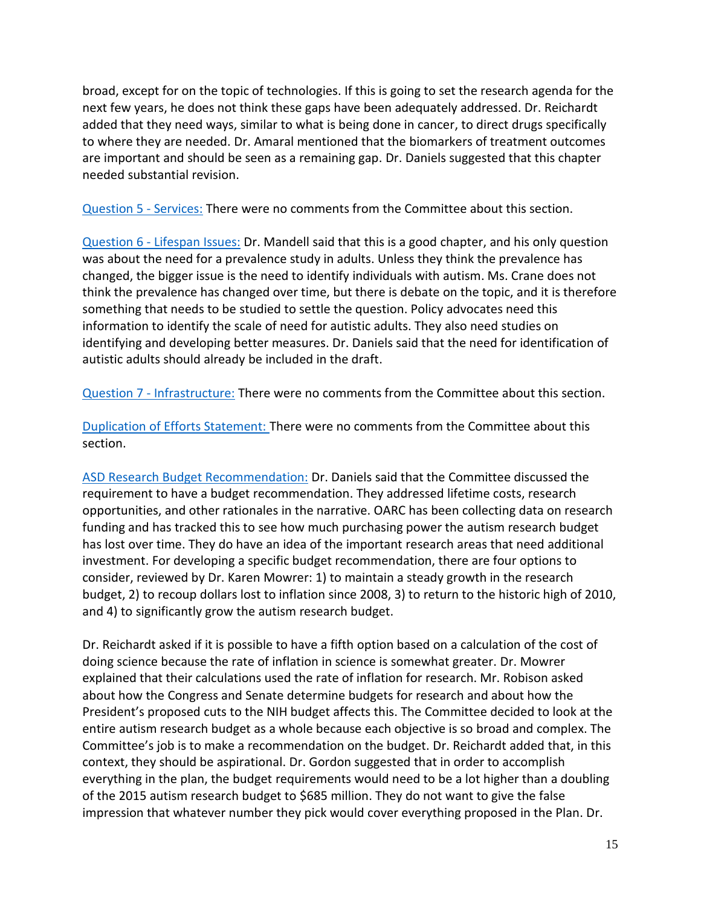broad, except for on the topic of technologies. If this is going to set the research agenda for the added that they need ways, similar to what is being done in cancer, to direct drugs specifically to where they are needed. Dr. Amaral mentioned that the biomarkers of treatment outcomes are important and should be seen as a remaining gap. Dr. Daniels suggested that this chapter next few years, he does not think these gaps have been adequately addressed. Dr. Reichardt needed substantial revision.

[Question 5 -](https://iacc.hhs.gov/meetings/iacc-meetings/2017/full-committee-meeting/july26/strategic-plan-q5-draft.pdf) Services: There were no comments from the Committee about this section.

Question 6 - [Lifespan Issues:](https://iacc.hhs.gov/meetings/iacc-meetings/2017/full-committee-meeting/july26/strategic-plan-q6-draft.pdf) Dr. Mandell said that this is a good chapter, and his only question was about the need for a prevalence study in adults. Unless they think the prevalence has changed, the bigger issue is the need to identify individuals with autism. Ms. Crane does not think the prevalence has changed over time, but there is debate on the topic, and it is therefore something that needs to be studied to settle the question. Policy advocates need this information to identify the scale of need for autistic adults. They also need studies on identifying and developing better measures. Dr. Daniels said that the need for identification of autistic adults should already be included in the draft.

Question 7 - [Infrastructure:](https://iacc.hhs.gov/meetings/iacc-meetings/2017/full-committee-meeting/july26/strategic-plan-q7-draft.pdf) There were no comments from the Committee about this section.

[Duplication of Efforts Statement: T](https://iacc.hhs.gov/meetings/iacc-meetings/2017/full-committee-meeting/july26/strategic-plan-effort-duplication-draft.pdf)here were no comments from the Committee about this section.

 [ASD Research Budget Recommendation:](https://iacc.hhs.gov/meetings/iacc-meetings/2017/full-committee-meeting/july26/strategic-plan-budget-draft.pdf) Dr. Daniels said that the Committee discussed the requirement to have a budget recommendation. They addressed lifetime costs, research opportunities, and other rationales in the narrative. OARC has been collecting data on research funding and has tracked this to see how much purchasing power the autism research budget has lost over time. They do have an idea of the important research areas that need additional investment. For developing a specific budget recommendation, there are four options to consider, reviewed by Dr. Karen Mowrer: 1) to maintain a steady growth in the research budget, 2) to recoup dollars lost to inflation since 2008, 3) to return to the historic high of 2010, and 4) to significantly grow the autism research budget.

 Dr. Reichardt asked if it is possible to have a fifth option based on a calculation of the cost of doing science because the rate of inflation in science is somewhat greater. Dr. Mowrer explained that their calculations used the rate of inflation for research. Mr. Robison asked President's proposed cuts to the NIH budget affects this. The Committee decided to look at the entire autism research budget as a whole because each objective is so broad and complex. The Committee's job is to make a recommendation on the budget. Dr. Reichardt added that, in this context, they should be aspirational. Dr. Gordon suggested that in order to accomplish everything in the plan, the budget requirements would need to be a lot higher than a doubling of the 2015 autism research budget to \$685 million. They do not want to give the false impression that whatever number they pick would cover everything proposed in the Plan. Dr. about how the Congress and Senate determine budgets for research and about how the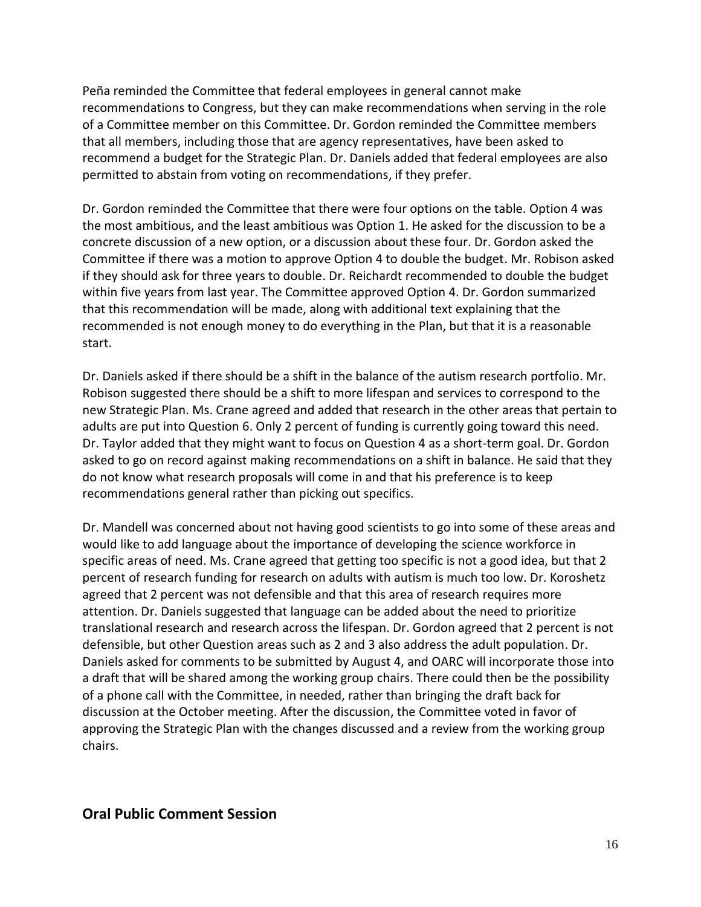of a Committee member on this Committee. Dr. Gordon reminded the Committee members that all members, including those that are agency representatives, have been asked to recommend a budget for the Strategic Plan. Dr. Daniels added that federal employees are also permitted to abstain from voting on recommendations, if they prefer. Peña reminded the Committee that federal employees in general cannot make recommendations to Congress, but they can make recommendations when serving in the role

 Dr. Gordon reminded the Committee that there were four options on the table. Option 4 was the most ambitious, and the least ambitious was Option 1. He asked for the discussion to be a concrete discussion of a new option, or a discussion about these four. Dr. Gordon asked the Committee if there was a motion to approve Option 4 to double the budget. Mr. Robison asked if they should ask for three years to double. Dr. Reichardt recommended to double the budget within five years from last year. The Committee approved Option 4. Dr. Gordon summarized that this recommendation will be made, along with additional text explaining that the recommended is not enough money to do everything in the Plan, but that it is a reasonable start.

 Dr. Daniels asked if there should be a shift in the balance of the autism research portfolio. Mr. Robison suggested there should be a shift to more lifespan and services to correspond to the new Strategic Plan. Ms. Crane agreed and added that research in the other areas that pertain to adults are put into Question 6. Only 2 percent of funding is currently going toward this need. Dr. Taylor added that they might want to focus on Question 4 as a short-term goal. Dr. Gordon asked to go on record against making recommendations on a shift in balance. He said that they do not know what research proposals will come in and that his preference is to keep recommendations general rather than picking out specifics.

 Dr. Mandell was concerned about not having good scientists to go into some of these areas and would like to add language about the importance of developing the science workforce in specific areas of need. Ms. Crane agreed that getting too specific is not a good idea, but that 2 percent of research funding for research on adults with autism is much too low. Dr. Koroshetz agreed that 2 percent was not defensible and that this area of research requires more attention. Dr. Daniels suggested that language can be added about the need to prioritize translational research and research across the lifespan. Dr. Gordon agreed that 2 percent is not defensible, but other Question areas such as 2 and 3 also address the adult population. Dr. Daniels asked for comments to be submitted by August 4, and OARC will incorporate those into a draft that will be shared among the working group chairs. There could then be the possibility of a phone call with the Committee, in needed, rather than bringing the draft back for discussion at the October meeting. After the discussion, the Committee voted in favor of approving the Strategic Plan with the changes discussed and a review from the working group chairs.

### **Oral Public Comment Session**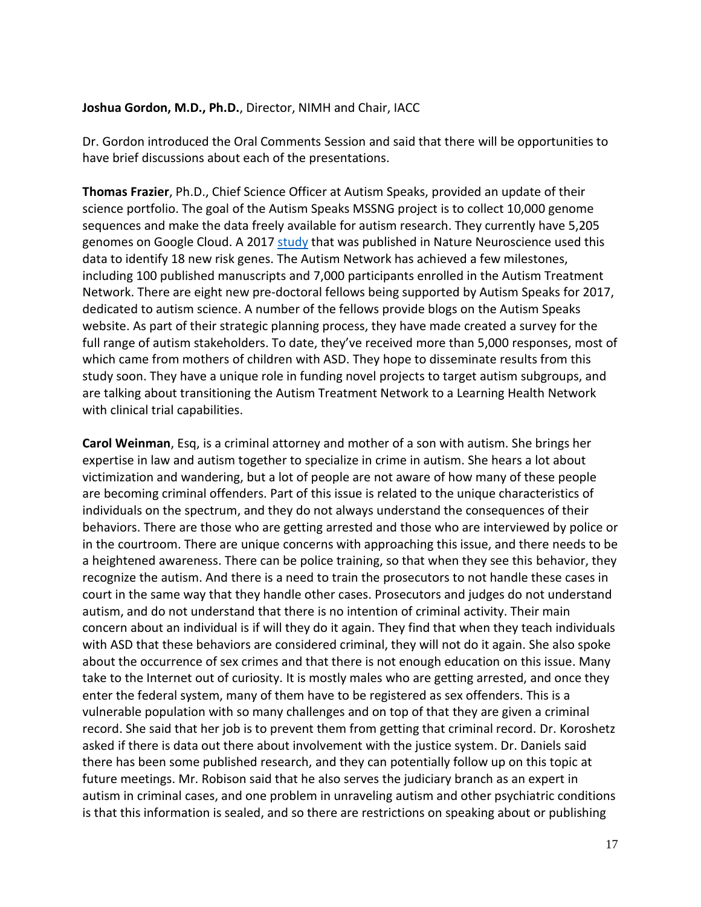#### **Joshua Gordon, M.D., Ph.D.**, Director, NIMH and Chair, IACC

 Dr. Gordon introduced the Oral Comments Session and said that there will be opportunities to have brief discussions about each of the presentations.

 **Thomas Frazier**, Ph.D., Chief Science Officer at Autism Speaks, provided an update of their sequences and make the data freely available for autism research. They currently have 5,205 genomes on Google Cloud. A 2017 <u>study</u> that was published in Nature Neuroscience used this data to identify 18 new risk genes. The Autism Network has achieved a few milestones, including 100 published manuscripts and 7,000 participants enrolled in the Autism Treatment Network. There are eight new pre-doctoral fellows being supported by Autism Speaks for 2017, dedicated to autism science. A number of the fellows provide blogs on the Autism Speaks website. As part of their strategic planning process, they have made created a survey for the full range of autism stakeholders. To date, they've received more than 5,000 responses, most of which came from mothers of children with ASD. They hope to disseminate results from this study soon. They have a unique role in funding novel projects to target autism subgroups, and are talking about transitioning the Autism Treatment Network to a Learning Health Network science portfolio. The goal of the Autism Speaks MSSNG project is to collect 10,000 genome with clinical trial capabilities.

 **Carol Weinman**, Esq, is a criminal attorney and mother of a son with autism. She brings her expertise in law and autism together to specialize in crime in autism. She hears a lot about victimization and wandering, but a lot of people are not aware of how many of these people are becoming criminal offenders. Part of this issue is related to the unique characteristics of individuals on the spectrum, and they do not always understand the consequences of their behaviors. There are those who are getting arrested and those who are interviewed by police or in the courtroom. There are unique concerns with approaching this issue, and there needs to be a heightened awareness. There can be police training, so that when they see this behavior, they recognize the autism. And there is a need to train the prosecutors to not handle these cases in court in the same way that they handle other cases. Prosecutors and judges do not understand autism, and do not understand that there is no intention of criminal activity. Their main concern about an individual is if will they do it again. They find that when they teach individuals with ASD that these behaviors are considered criminal, they will not do it again. She also spoke about the occurrence of sex crimes and that there is not enough education on this issue. Many take to the Internet out of curiosity. It is mostly males who are getting arrested, and once they enter the federal system, many of them have to be registered as sex offenders. This is a vulnerable population with so many challenges and on top of that they are given a criminal record. She said that her job is to prevent them from getting that criminal record. Dr. Koroshetz asked if there is data out there about involvement with the justice system. Dr. Daniels said there has been some published research, and they can potentially follow up on this topic at future meetings. Mr. Robison said that he also serves the judiciary branch as an expert in autism in criminal cases, and one problem in unraveling autism and other psychiatric conditions is that this information is sealed, and so there are restrictions on speaking about or publishing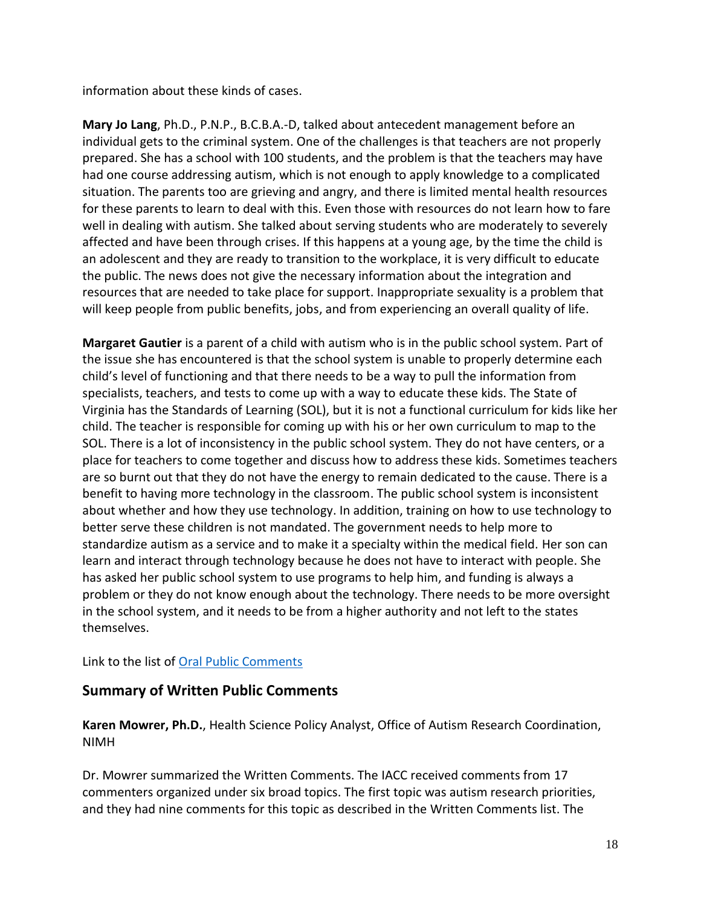information about these kinds of cases.

 **Mary Jo Lang**, Ph.D., P.N.P., B.C.B.A.-D, talked about antecedent management before an individual gets to the criminal system. One of the challenges is that teachers are not properly prepared. She has a school with 100 students, and the problem is that the teachers may have had one course addressing autism, which is not enough to apply knowledge to a complicated situation. The parents too are grieving and angry, and there is limited mental health resources for these parents to learn to deal with this. Even those with resources do not learn how to fare well in dealing with autism. She talked about serving students who are moderately to severely affected and have been through crises. If this happens at a young age, by the time the child is an adolescent and they are ready to transition to the workplace, it is very difficult to educate the public. The news does not give the necessary information about the integration and resources that are needed to take place for support. Inappropriate sexuality is a problem that will keep people from public benefits, jobs, and from experiencing an overall quality of life.

 **Margaret Gautier** is a parent of a child with autism who is in the public school system. Part of the issue she has encountered is that the school system is unable to properly determine each child's level of functioning and that there needs to be a way to pull the information from specialists, teachers, and tests to come up with a way to educate these kids. The State of Virginia has the Standards of Learning (SOL), but it is not a functional curriculum for kids like her child. The teacher is responsible for coming up with his or her own curriculum to map to the SOL. There is a lot of inconsistency in the public school system. They do not have centers, or a place for teachers to come together and discuss how to address these kids. Sometimes teachers are so burnt out that they do not have the energy to remain dedicated to the cause. There is a benefit to having more technology in the classroom. The public school system is inconsistent about whether and how they use technology. In addition, training on how to use technology to better serve these children is not mandated. The government needs to help more to standardize autism as a service and to make it a specialty within the medical field. Her son can learn and interact through technology because he does not have to interact with people. She has asked her public school system to use programs to help him, and funding is always a problem or they do not know enough about the technology. There needs to be more oversight in the school system, and it needs to be from a higher authority and not left to the states themselves.

Link to the list of **Oral Public Comments** 

### **Summary of Written Public Comments**

 **Karen Mowrer, Ph.D.**, Health Science Policy Analyst, Office of Autism Research Coordination, NIMH

 Dr. Mowrer summarized the Written Comments. The IACC received comments from 17 commenters organized under six broad topics. The first topic was autism research priorities, and they had nine comments for this topic as described in the Written Comments list. The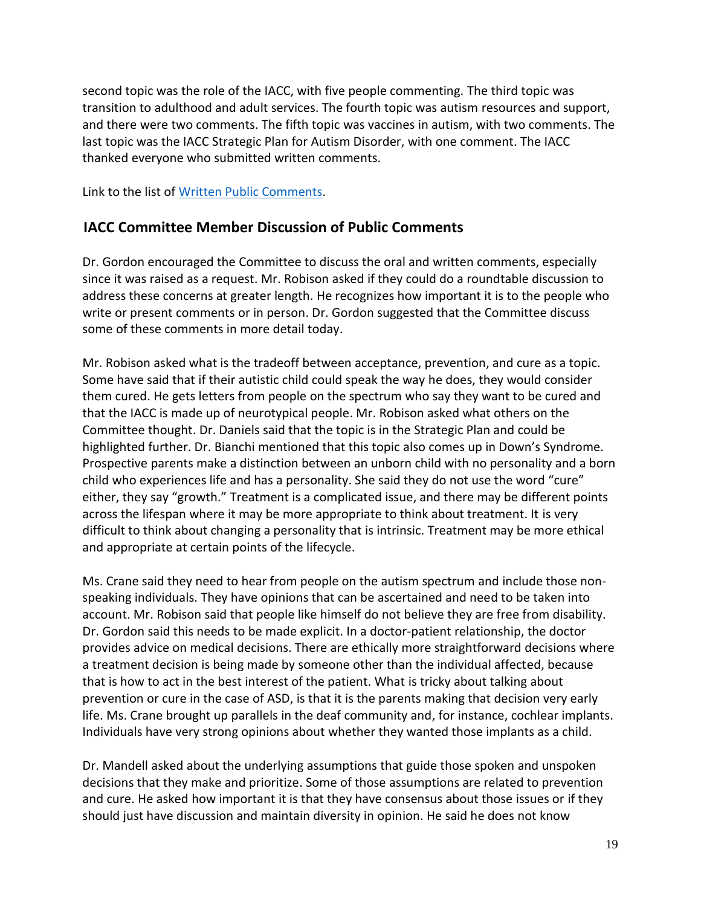second topic was the role of the IACC, with five people commenting. The third topic was transition to adulthood and adult services. The fourth topic was autism resources and support, and there were two comments. The fifth topic was vaccines in autism, with two comments. The last topic was the IACC Strategic Plan for Autism Disorder, with one comment. The IACC thanked everyone who submitted written comments.

Link to the list of [Written Public Comments.](https://iacc.hhs.gov/meetings/iacc-meetings/2017/full-committee-meeting/july26/written_public_comments_072617.pdf)

### **IACC Committee Member Discussion of Public Comments**

 Dr. Gordon encouraged the Committee to discuss the oral and written comments, especially since it was raised as a request. Mr. Robison asked if they could do a roundtable discussion to address these concerns at greater length. He recognizes how important it is to the people who write or present comments or in person. Dr. Gordon suggested that the Committee discuss some of these comments in more detail today.

 Mr. Robison asked what is the tradeoff between acceptance, prevention, and cure as a topic. Some have said that if their autistic child could speak the way he does, they would consider them cured. He gets letters from people on the spectrum who say they want to be cured and that the IACC is made up of neurotypical people. Mr. Robison asked what others on the Committee thought. Dr. Daniels said that the topic is in the Strategic Plan and could be highlighted further. Dr. Bianchi mentioned that this topic also comes up in Down's Syndrome. Prospective parents make a distinction between an unborn child with no personality and a born child who experiences life and has a personality. She said they do not use the word "cure" either, they say "growth." Treatment is a complicated issue, and there may be different points across the lifespan where it may be more appropriate to think about treatment. It is very difficult to think about changing a personality that is intrinsic. Treatment may be more ethical and appropriate at certain points of the lifecycle.

 Ms. Crane said they need to hear from people on the autism spectrum and include those non- speaking individuals. They have opinions that can be ascertained and need to be taken into account. Mr. Robison said that people like himself do not believe they are free from disability. Dr. Gordon said this needs to be made explicit. In a doctor-patient relationship, the doctor a treatment decision is being made by someone other than the individual affected, because that is how to act in the best interest of the patient. What is tricky about talking about prevention or cure in the case of ASD, is that it is the parents making that decision very early life. Ms. Crane brought up parallels in the deaf community and, for instance, cochlear implants. Individuals have very strong opinions about whether they wanted those implants as a child. provides advice on medical decisions. There are ethically more straightforward decisions where

 Dr. Mandell asked about the underlying assumptions that guide those spoken and unspoken decisions that they make and prioritize. Some of those assumptions are related to prevention should just have discussion and maintain diversity in opinion. He said he does not know and cure. He asked how important it is that they have consensus about those issues or if they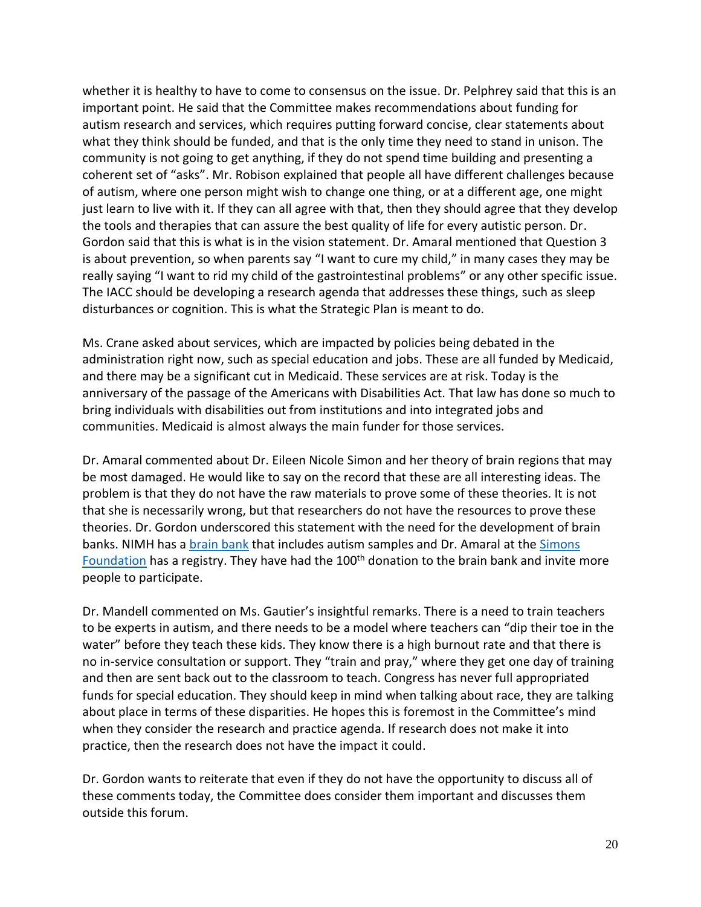whether it is healthy to have to come to consensus on the issue. Dr. Pelphrey said that this is an important point. He said that the Committee makes recommendations about funding for autism research and services, which requires putting forward concise, clear statements about what they think should be funded, and that is the only time they need to stand in unison. The community is not going to get anything, if they do not spend time building and presenting a coherent set of "asks". Mr. Robison explained that people all have different challenges because of autism, where one person might wish to change one thing, or at a different age, one might just learn to live with it. If they can all agree with that, then they should agree that they develop the tools and therapies that can assure the best quality of life for every autistic person. Dr. Gordon said that this is what is in the vision statement. Dr. Amaral mentioned that Question 3 is about prevention, so when parents say "I want to cure my child," in many cases they may be really saying "I want to rid my child of the gastrointestinal problems" or any other specific issue. The IACC should be developing a research agenda that addresses these things, such as sleep disturbances or cognition. This is what the Strategic Plan is meant to do.

 Ms. Crane asked about services, which are impacted by policies being debated in the administration right now, such as special education and jobs. These are all funded by Medicaid, and there may be a significant cut in Medicaid. These services are at risk. Today is the anniversary of the passage of the Americans with Disabilities Act. That law has done so much to bring individuals with disabilities out from institutions and into integrated jobs and communities. Medicaid is almost always the main funder for those services.

 Dr. Amaral commented about Dr. Eileen Nicole Simon and her theory of brain regions that may be most damaged. He would like to say on the record that these are all interesting ideas. The problem is that they do not have the raw materials to prove some of these theories. It is not that she is necessarily wrong, but that researchers do not have the resources to prove these theories. Dr. Gordon underscored this statement with the need for the development of brain banks. NIMH has a **brain bank** that includes autism samples and Dr. Amaral at the Simons [Foundation](https://www.simonsfoundation.org/) has a registry. They have had the 100<sup>th</sup> donation to the brain bank and invite more people to participate.

 Dr. Mandell commented on Ms. Gautier's insightful remarks. There is a need to train teachers to be experts in autism, and there needs to be a model where teachers can "dip their toe in the water" before they teach these kids. They know there is a high burnout rate and that there is no in-service consultation or support. They "train and pray," where they get one day of training and then are sent back out to the classroom to teach. Congress has never full appropriated funds for special education. They should keep in mind when talking about race, they are talking about place in terms of these disparities. He hopes this is foremost in the Committee's mind when they consider the research and practice agenda. If research does not make it into practice, then the research does not have the impact it could.

 Dr. Gordon wants to reiterate that even if they do not have the opportunity to discuss all of these comments today, the Committee does consider them important and discusses them outside this forum.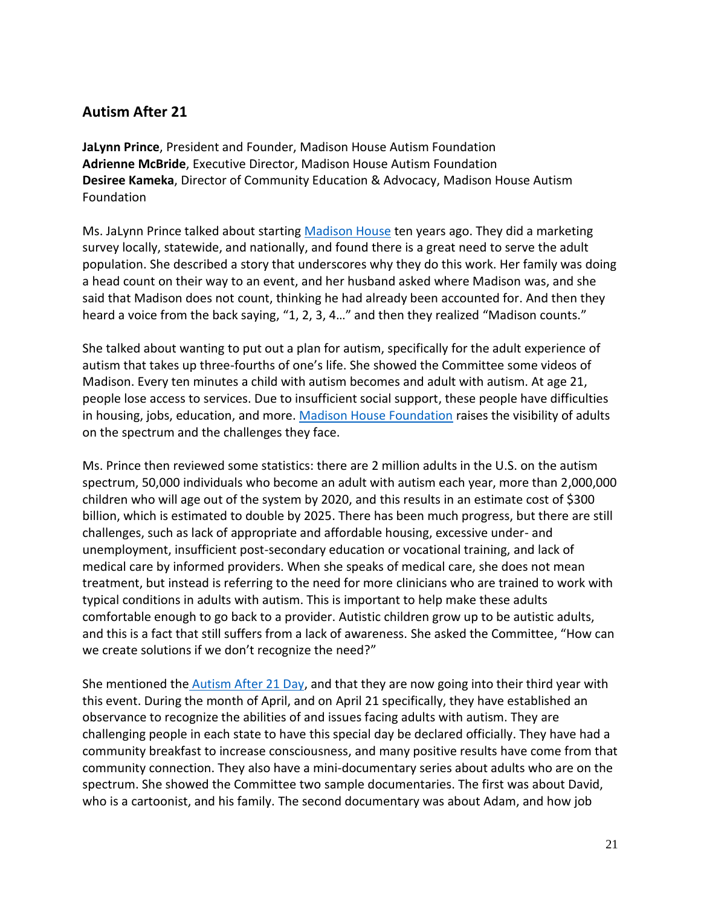## **Autism After 21**

 **JaLynn Prince**, President and Founder, Madison House Autism Foundation **Adrienne McBride**, Executive Director, Madison House Autism Foundation **Desiree Kameka**, Director of Community Education & Advocacy, Madison House Autism Foundation

Ms. JaLynn Prince talked about startin[g Madison House](http://www.madisonhouseautism.org/) ten years ago. They did a marketing survey locally, statewide, and nationally, and found there is a great need to serve the adult a head count on their way to an event, and her husband asked where Madison was, and she said that Madison does not count, thinking he had already been accounted for. And then they heard a voice from the back saying, "1, 2, 3, 4…" and then they realized "Madison counts." population. She described a story that underscores why they do this work. Her family was doing

 She talked about wanting to put out a plan for autism, specifically for the adult experience of autism that takes up three-fourths of one's life. She showed the Committee some videos of Madison. Every ten minutes a child with autism becomes and adult with autism. At age 21, people lose access to services. Due to insufficient social support, these people have difficulties on the spectrum and the challenges they face. in housing, jobs, education, and more. [Madison House Foundation](http://www.madisonhouseautism.org/) raises the visibility of adults

 Ms. Prince then reviewed some statistics: there are 2 million adults in the U.S. on the autism spectrum, 50,000 individuals who become an adult with autism each year, more than 2,000,000 children who will age out of the system by 2020, and this results in an estimate cost of \$300 billion, which is estimated to double by 2025. There has been much progress, but there are still challenges, such as lack of appropriate and affordable housing, excessive under- and unemployment, insufficient post-secondary education or vocational training, and lack of medical care by informed providers. When she speaks of medical care, she does not mean treatment, but instead is referring to the need for more clinicians who are trained to work with typical conditions in adults with autism. This is important to help make these adults comfortable enough to go back to a provider. Autistic children grow up to be autistic adults, and this is a fact that still suffers from a lack of awareness. She asked the Committee, "How can we create solutions if we don't recognize the need?"

She mentioned th[e Autism After 21 Day,](http://www.madisonhouseautism.org/video-recap-autism-21-day-inaugural-breakfast-focuses-employment/) and that they are now going into their third year with this event. During the month of April, and on April 21 specifically, they have established an observance to recognize the abilities of and issues facing adults with autism. They are challenging people in each state to have this special day be declared officially. They have had a community breakfast to increase consciousness, and many positive results have come from that community connection. They also have a mini-documentary series about adults who are on the who is a cartoonist, and his family. The second documentary was about Adam, and how job spectrum. She showed the Committee two sample documentaries. The first was about David,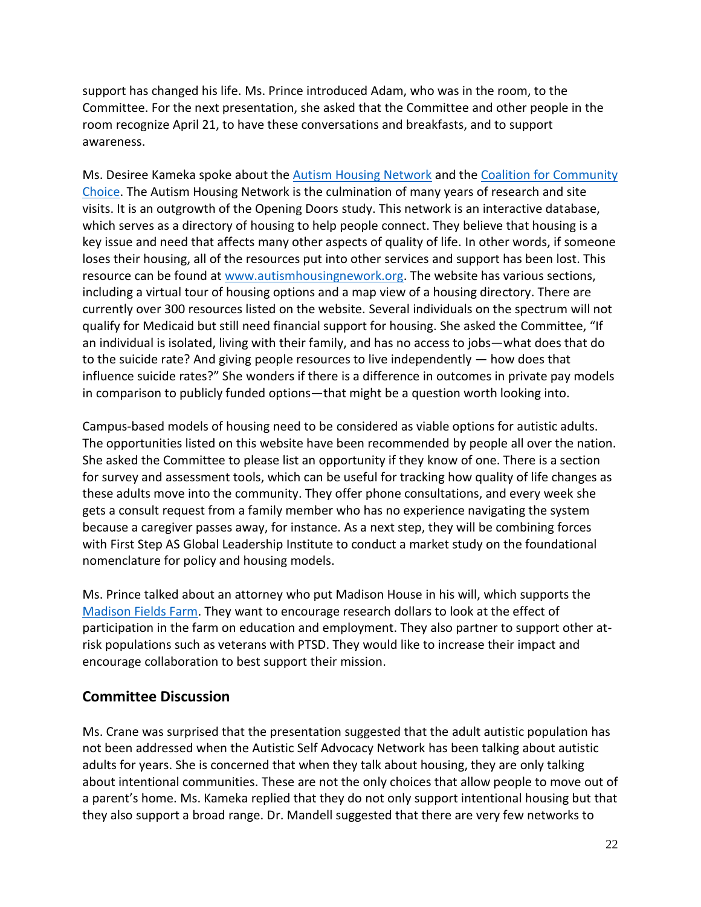support has changed his life. Ms. Prince introduced Adam, who was in the room, to the Committee. For the next presentation, she asked that the Committee and other people in the room recognize April 21, to have these conversations and breakfasts, and to support awareness.

Ms. Desiree Kameka spoke about the **Autism Housing Network** and the Coalition for Community [Choice.](http://coalitionforcommunitychoice.org/) The Autism Housing Network is the culmination of many years of research and site visits. It is an outgrowth of the Opening Doors study. This network is an interactive database, which serves as a directory of housing to help people connect. They believe that housing is a key issue and need that affects many other aspects of quality of life. In other words, if someone loses their housing, all of the resources put into other services and support has been lost. This including a virtual tour of housing options and a map view of a housing directory. There are currently over 300 resources listed on the website. Several individuals on the spectrum will not qualify for Medicaid but still need financial support for housing. She asked the Committee, "If an individual is isolated, living with their family, and has no access to jobs—what does that do influence suicide rates?" She wonders if there is a difference in outcomes in private pay models in comparison to publicly funded options—that might be a question worth looking into. resource can be found at [www.autismhousingnework.org.](http://www.autismhousingnework.org/) The website has various sections, to the suicide rate? And giving people resources to live independently — how does that

 Campus-based models of housing need to be considered as viable options for autistic adults. The opportunities listed on this website have been recommended by people all over the nation. She asked the Committee to please list an opportunity if they know of one. There is a section for survey and assessment tools, which can be useful for tracking how quality of life changes as these adults move into the community. They offer phone consultations, and every week she gets a consult request from a family member who has no experience navigating the system because a caregiver passes away, for instance. As a next step, they will be combining forces with First Step AS Global Leadership Institute to conduct a market study on the foundational nomenclature for policy and housing models.

 Ms. Prince talked about an attorney who put Madison House in his will, which supports the [Madison Fields Farm.](http://www.madisonhouseautism.org/madison-fields-a-madison-house-autism-foundation-project/) They want to encourage research dollars to look at the effect of participation in the farm on education and employment. They also partner to support other at- risk populations such as veterans with PTSD. They would like to increase their impact and encourage collaboration to best support their mission.

### **Committee Discussion**

 Ms. Crane was surprised that the presentation suggested that the adult autistic population has not been addressed when the Autistic Self Advocacy Network has been talking about autistic adults for years. She is concerned that when they talk about housing, they are only talking about intentional communities. These are not the only choices that allow people to move out of a parent's home. Ms. Kameka replied that they do not only support intentional housing but that they also support a broad range. Dr. Mandell suggested that there are very few networks to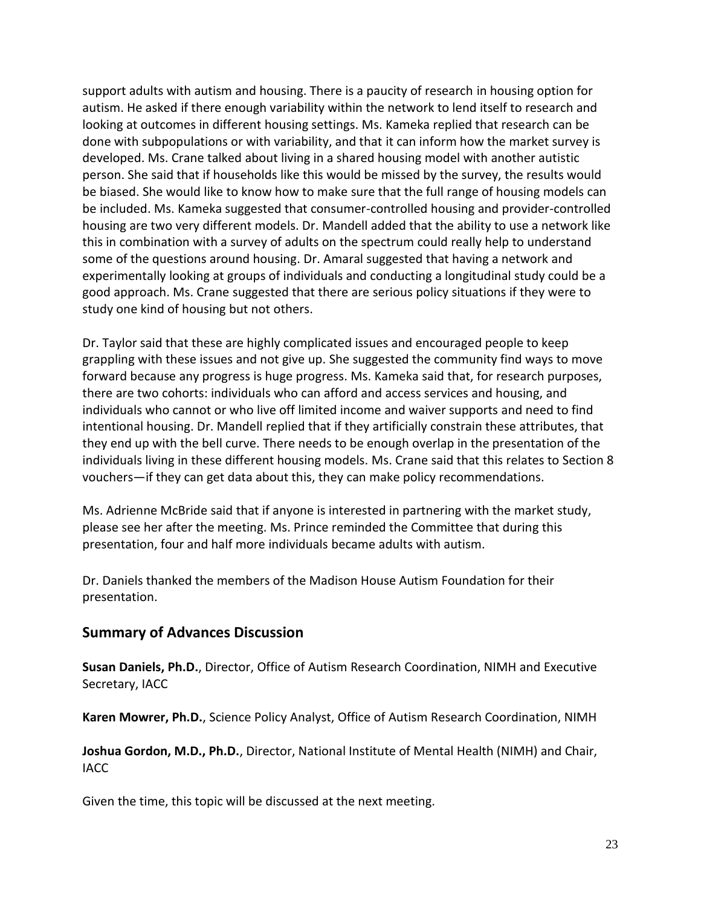support adults with autism and housing. There is a paucity of research in housing option for autism. He asked if there enough variability within the network to lend itself to research and looking at outcomes in different housing settings. Ms. Kameka replied that research can be done with subpopulations or with variability, and that it can inform how the market survey is developed. Ms. Crane talked about living in a shared housing model with another autistic person. She said that if households like this would be missed by the survey, the results would be biased. She would like to know how to make sure that the full range of housing models can be included. Ms. Kameka suggested that consumer-controlled housing and provider-controlled housing are two very different models. Dr. Mandell added that the ability to use a network like this in combination with a survey of adults on the spectrum could really help to understand some of the questions around housing. Dr. Amaral suggested that having a network and experimentally looking at groups of individuals and conducting a longitudinal study could be a good approach. Ms. Crane suggested that there are serious policy situations if they were to study one kind of housing but not others.

 Dr. Taylor said that these are highly complicated issues and encouraged people to keep grappling with these issues and not give up. She suggested the community find ways to move there are two cohorts: individuals who can afford and access services and housing, and individuals who cannot or who live off limited income and waiver supports and need to find intentional housing. Dr. Mandell replied that if they artificially constrain these attributes, that they end up with the bell curve. There needs to be enough overlap in the presentation of the individuals living in these different housing models. Ms. Crane said that this relates to Section 8 vouchers—if they can get data about this, they can make policy recommendations. forward because any progress is huge progress. Ms. Kameka said that, for research purposes,

 Ms. Adrienne McBride said that if anyone is interested in partnering with the market study, please see her after the meeting. Ms. Prince reminded the Committee that during this presentation, four and half more individuals became adults with autism.

 Dr. Daniels thanked the members of the Madison House Autism Foundation for their presentation.

### **Summary of Advances Discussion**

**Susan Daniels, Ph.D.**, Director, Office of Autism Research Coordination, NIMH and Executive Secretary, IACC

**Karen Mowrer, Ph.D.**, Science Policy Analyst, Office of Autism Research Coordination, NIMH

 **Joshua Gordon, M.D., Ph.D.**, Director, National Institute of Mental Health (NIMH) and Chair, IACC

Given the time, this topic will be discussed at the next meeting.